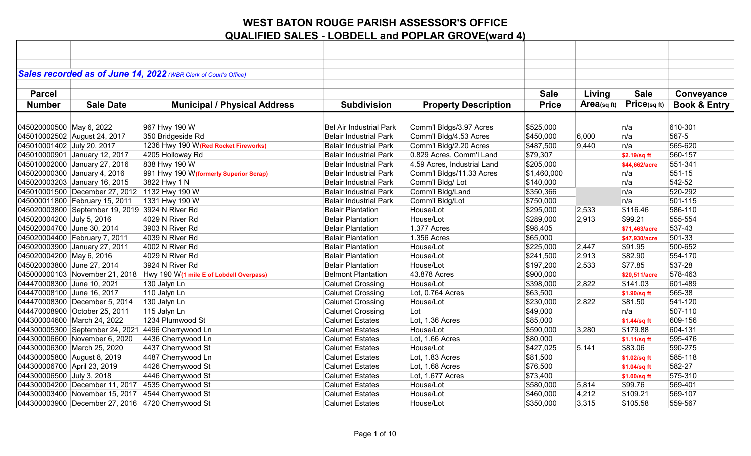|                             |                                                 | Sales recorded as of June 14, 2022 (WBR Clerk of Court's Office)       |                                |                             |              |            |               |                         |
|-----------------------------|-------------------------------------------------|------------------------------------------------------------------------|--------------------------------|-----------------------------|--------------|------------|---------------|-------------------------|
|                             |                                                 |                                                                        |                                |                             |              |            |               |                         |
| <b>Parcel</b>               |                                                 |                                                                        |                                |                             | <b>Sale</b>  | Living     | <b>Sale</b>   | Conveyance              |
|                             |                                                 |                                                                        |                                |                             |              |            |               |                         |
| <b>Number</b>               | <b>Sale Date</b>                                | <b>Municipal / Physical Address</b>                                    | <b>Subdivision</b>             | <b>Property Description</b> | <b>Price</b> | Area(sqft) | Price(sqft)   | <b>Book &amp; Entry</b> |
|                             |                                                 |                                                                        |                                |                             |              |            |               |                         |
| 045020000500 May 6, 2022    |                                                 | 967 Hwy 190 W                                                          | <b>Bel Air Industrial Park</b> | Comm'l Bldgs/3.97 Acres     | \$525,000    |            | n/a           | 610-301                 |
|                             | 045010002502 August 24, 2017                    | 350 Bridgeside Rd                                                      | <b>Belair Industrial Park</b>  | Comm'l Bldg/4.53 Acres      | \$450,000    | 6,000      | n/a           | 567-5                   |
| 045010001402 July 20, 2017  |                                                 | 1236 Hwy 190 W(Red Rocket Fireworks)                                   | <b>Belair Industrial Park</b>  | Comm'l Bldg/2.20 Acres      | \$487,500    | 9,440      | n/a           | 565-620                 |
|                             | 045010000901 January 12, 2017                   | 4205 Holloway Rd                                                       | <b>Belair Industrial Park</b>  | 0.829 Acres, Comm'l Land    | \$79,307     |            | \$2.19/sq ft  | 560-157                 |
|                             | 045010002000 January 27, 2016                   | 838 Hwy 190 W                                                          | <b>Belair Industrial Park</b>  | 4.59 Acres, Industrial Land | \$205,000    |            | \$44,662/acre | 551-341                 |
|                             | 045020000300 January 4, 2016                    | 991 Hwy 190 W (formerly Superior Scrap)                                | <b>Belair Industrial Park</b>  | Comm'l Bldgs/11.33 Acres    | \$1,460,000  |            | n/a           | 551-15                  |
|                             | 045020003203 January 16, 2015                   | 3822 Hwy 1 N                                                           | <b>Belair Industrial Park</b>  | Comm'l Bldg/Lot             | \$140,000    |            | n/a           | 542-52                  |
|                             | 045010001500 December 27, 2012 1132 Hwy 190 W   |                                                                        | <b>Belair Industrial Park</b>  | Comm'l Bldg/Land            | \$350,366    |            | n/a           | 520-292                 |
|                             | 045000011800 February 15, 2011                  | 1331 Hwy 190 W                                                         | <b>Belair Industrial Park</b>  | Comm'l Bldg/Lot             | \$750,000    |            | n/a           | 501-115                 |
|                             | 045020003800 September 19, 2019 3924 N River Rd |                                                                        | <b>Belair Plantation</b>       | House/Lot                   | \$295,000    | 2,533      | \$116.46      | 586-110                 |
| 045020004200 July 5, 2016   |                                                 | 4029 N River Rd                                                        | <b>Belair Plantation</b>       | House/Lot                   | \$289,000    | 2,913      | \$99.21       | 555-554                 |
| 045020004700 June 30, 2014  |                                                 | 3903 N River Rd                                                        | <b>Belair Plantation</b>       | 1.377 Acres                 | \$98,405     |            | \$71,463/acre | 537-43                  |
|                             | 045020004400 February 7, 2011                   | 4039 N River Rd                                                        | <b>Belair Plantation</b>       | 1.356 Acres                 | \$65,000     |            | \$47,930/acre | 501-33                  |
|                             | 045020003900 January 27, 2011                   | 4002 N River Rd                                                        | <b>Belair Plantation</b>       | House/Lot                   | \$225,000    | 2,447      | \$91.95       | 500-652                 |
| 045020004200 May 6, 2016    |                                                 | 4029 N River Rd                                                        | <b>Belair Plantation</b>       | House/Lot                   | \$241,500    | 2,913      | \$82.90       | 554-170                 |
| 045020003800 June 27, 2014  |                                                 | 3924 N River Rd                                                        | <b>Belair Plantation</b>       | House/Lot                   | \$197,200    | 2,533      | \$77.85       | 537-28                  |
|                             |                                                 | 045000000103 November 21, 2018 Hwy 190 W(1 mile E of Lobdell Overpass) | <b>Belmont Plantation</b>      | 43.878 Acres                | \$900,000    |            | \$20,511/acre | 578-463                 |
| 044470008300 June 10, 2021  |                                                 | 130 Jalyn Ln                                                           | <b>Calumet Crossing</b>        | House/Lot                   | \$398,000    | 2,822      | \$141.03      | 601-489                 |
| 044470008100 June 16, 2017  |                                                 | 110 Jalyn Ln                                                           | <b>Calumet Crossing</b>        | Lot, 0.764 Acres            | \$63,500     |            | \$1.90/sq ft  | 565-38                  |
|                             | 044470008300 December 5, 2014                   | 130 Jalyn Ln                                                           | <b>Calumet Crossing</b>        | House/Lot                   | \$230,000    | 2,822      | \$81.50       | 541-120                 |
|                             | 044470008900 October 25, 2011                   | 115 Jalyn Ln                                                           | <b>Calumet Crossing</b>        | Lot                         | \$49,000     |            | n/a           | 507-110                 |
|                             | 044300004600 March 24, 2022                     | 1234 Plumwood St                                                       | <b>Calumet Estates</b>         | Lot, 1.36 Acres             | \$85,000     |            | \$1.44/sq ft  | 609-156                 |
|                             |                                                 | 044300005300 September 24, 2021 4496 Cherrywood Ln                     | <b>Calumet Estates</b>         | House/Lot                   | \$590,000    | 3,280      | \$179.88      | 604-131                 |
|                             | 044300006600 November 6, 2020                   | 4436 Cherrywood Ln                                                     | <b>Calumet Estates</b>         | Lot, 1.66 Acres             | \$80,000     |            | \$1.11/sq ft  | 595-476                 |
|                             | 044300006300 March 25, 2020                     | 4437 Cherrywood St                                                     | <b>Calumet Estates</b>         | House/Lot                   | \$427,025    | 5,141      | \$83.06       | 590-275                 |
|                             | 044300005800 August 8, 2019                     | 4487 Cherrywood Ln                                                     | <b>Calumet Estates</b>         | Lot, 1.83 Acres             | \$81,500     |            | \$1.02/sq ft  | 585-118                 |
| 044300006700 April 23, 2019 |                                                 | 4426 Cherrywood St                                                     | <b>Calumet Estates</b>         | Lot, 1.68 Acres             | \$76,500     |            | \$1.04/sq ft  | 582-27                  |
| 044300006500 July 3, 2018   |                                                 | 4446 Cherrywood St                                                     | <b>Calumet Estates</b>         | Lot, 1.677 Acres            | \$73,400     |            | \$1.00/sq ft  | 575-310                 |
|                             |                                                 | 044300004200 December 11, 2017 4535 Cherrywood St                      | <b>Calumet Estates</b>         | House/Lot                   | \$580,000    | 5,814      | \$99.76       | 569-401                 |
|                             |                                                 | 044300003400 November 15, 2017 4544 Cherrywood St                      | <b>Calumet Estates</b>         | House/Lot                   | \$460,000    | 4,212      | \$109.21      | 569-107                 |
|                             |                                                 | 044300003900 December 27, 2016 4720 Cherrywood St                      | <b>Calumet Estates</b>         | House/Lot                   | \$350,000    | 3,315      | \$105.58      | 559-567                 |
|                             |                                                 |                                                                        |                                |                             |              |            |               |                         |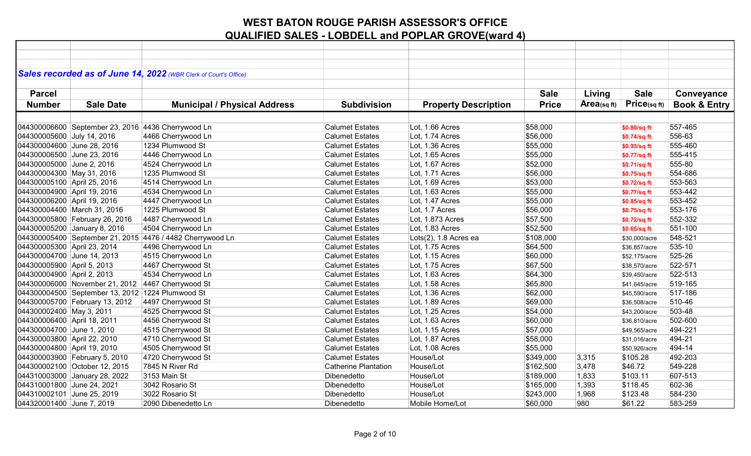| Sales recorded as of June 14, 2022 (WBR Clerk of Court's Office)<br><b>Sale</b><br>Living<br><b>Sale</b><br><b>Parcel</b><br>Conveyance<br>Price(sqft)<br>Area(sq ft)<br><b>Book &amp; Entry</b><br><b>Sale Date</b><br><b>Municipal / Physical Address</b><br><b>Subdivision</b><br><b>Property Description</b><br><b>Price</b><br><b>Number</b><br>044300006600 September 23, 2016 4436 Cherrywood Ln<br><b>Calumet Estates</b><br>Lot, 1.66 Acres<br>\$58,000<br>557-465<br>\$0.80/sq ft<br>4466 Cherrywood Ln<br>Lot, 1.74 Acres<br>\$56,000<br>556-63<br>044300005600 July 14, 2016<br><b>Calumet Estates</b><br>\$0.74/sq ft<br>044300004600 June 28, 2016<br>1234 Plumwood St<br>Lot, 1.36 Acres<br>\$55,000<br>555-460<br><b>Calumet Estates</b><br>\$0.93/sq ft<br>044300006500 June 23, 2016<br>4446 Cherrywood Ln<br><b>Calumet Estates</b><br>Lot, 1.65 Acres<br>\$55,000<br>555-415<br>\$0.77/sq ft<br>044300005000 June 2, 2016<br>4524 Cherrywood Ln<br><b>Calumet Estates</b><br>Lot, 1.67 Acres<br>\$52,000<br>555-80<br>\$0.71/sq ft<br>1235 Plumwood St<br>\$56,000<br>554-686<br>044300004300 May 31, 2016<br><b>Calumet Estates</b><br>Lot, 1.71 Acres<br>\$0.75/sq ft<br>4514 Cherrywood Ln<br>553-563<br>044300005100 April 25, 2016<br><b>Calumet Estates</b><br>Lot, 1.69 Acres<br>\$53,000<br>\$0.72/sq ft<br>\$55,000<br>553-442<br>044300004900 April 19, 2016<br>4534 Cherrywood Ln<br><b>Calumet Estates</b><br>Lot, 1.63 Acres<br>\$0.77/sq ft<br>4447 Cherrywood Ln<br>\$55,000<br>553-452<br>044300006200 April 19, 2016<br><b>Calumet Estates</b><br>Lot, 1.47 Acres<br>\$0.85/sq ft<br>1225 Plumwood St<br>\$56,000<br>553-176<br>044300004400 March 31, 2016<br><b>Calumet Estates</b><br>Lot, 1.7 Acres<br>\$0.75/sq ft<br>4487 Cherrywood Ln<br>Lot, 1.873 Acres<br>552-332<br>044300005800 February 26, 2016<br><b>Calumet Estates</b><br>\$57,500<br>\$0.72/sq ft<br>4504 Cherrywood Ln<br>\$52,500<br>551-100<br>044300005200 January 8, 2016<br><b>Calumet Estates</b><br>Lot, 1.83 Acres<br>\$0.65/sq ft<br>044300005400 September 21, 2015 4476 / 4482 Cherrywood Ln<br>\$108,000<br>548-521<br><b>Calumet Estates</b><br>Lots(2), 1.8 Acres ea<br>\$30,000/acre<br>535-10<br>044300005300 April 23, 2014<br>4496 Cherrywood Ln<br><b>Calumet Estates</b><br>Lot, 1.75 Acres<br>\$64,500<br>\$36,857/acre<br>525-26<br>044300004700 June 14, 2013<br>4515 Cherrywood Ln<br><b>Calumet Estates</b><br>Lot, 1.15 Acres<br>\$60,000<br>\$52,175/acre<br>4467 Cherrywood St<br>522-571<br>044300005900 April 5, 2013<br><b>Calumet Estates</b><br>Lot, 1.75 Acres<br>\$67,500<br>\$38,570/acre<br>\$64,300<br>522-513<br>044300004900 April 2, 2013<br>4534 Cherrywood Ln<br><b>Calumet Estates</b><br>Lot, 1.63 Acres<br>\$39,450/acre<br>044300006000 November 21, 2012 4467 Cherrywood St<br>\$65,800<br>519-165<br><b>Calumet Estates</b><br>Lot, 1.58 Acres<br>\$41,645/acre<br>517-186<br>044300004500 September 13, 2012 1224 Plumwood St<br><b>Calumet Estates</b><br>Lot, 1.36 Acres<br>\$62,000<br>\$45,590/acre<br>510-46<br>044300005700 February 13, 2012<br>4497 Cherrywood St<br>Lot, 1.89 Acres<br>\$69,000<br><b>Calumet Estates</b><br>\$36,508/acre<br>503-48<br>044300002400 May 3, 2011<br>4525 Cherrywood St<br><b>Calumet Estates</b><br>Lot, 1.25 Acres<br>\$54,000<br>\$43,200/acre<br>Lot, 1.63 Acres<br>\$60,000<br>502-600<br>044300006400 April 18, 2011<br>4456 Cherrywood St<br><b>Calumet Estates</b><br>\$36,810/acre<br>044300004700 June 1, 2010<br>4515 Cherrywood St<br><b>Calumet Estates</b><br>Lot, 1.15 Acres<br>\$57,000<br>494-221<br>\$49,565/acre<br>494-21<br>044300003800 April 22, 2010<br>4710 Cherrywood St<br><b>Calumet Estates</b><br>Lot, 1.87 Acres<br>\$58,000<br>\$31,016/acre<br>494-14<br>044300004800 April 19, 2010<br>4505 Cherrywood St<br><b>Calumet Estates</b><br>Lot, 1.08 Acres<br>\$55,000<br>\$50,926/acre<br>4720 Cherrywood St<br><b>Calumet Estates</b><br>House/Lot<br>\$349,000<br>\$105.28<br>492-203<br>044300003900 February 5, 2010<br>3,315<br>044300002100 October 12, 2015<br>7845 N River Rd<br>Catherine Plantation<br>House/Lot<br>549-228<br>\$162,500<br>3,478<br>\$46.72<br>044310003000 January 28, 2022<br>3153 Main St<br>House/Lot<br>1,833<br>\$103.11<br>607-513<br>Dibenedetto<br>\$189,000<br>House/Lot<br>044310001800 June 24, 2021<br>3042 Rosario St<br>Dibenedetto<br>\$165,000<br>1,393<br>\$118.45<br>602-36<br>584-230<br>044310002101 June 25, 2019<br>3022 Rosario St<br>Dibenedetto<br>House/Lot<br>1,968<br>\$123.48<br>\$243,000<br>044320001400 June 7, 2019<br>2090 Dibenedetto Ln<br>Mobile Home/Lot<br>\$60,000<br>980<br>\$61.22<br>583-259<br>Dibenedetto |  |  |  |  |  |
|----------------------------------------------------------------------------------------------------------------------------------------------------------------------------------------------------------------------------------------------------------------------------------------------------------------------------------------------------------------------------------------------------------------------------------------------------------------------------------------------------------------------------------------------------------------------------------------------------------------------------------------------------------------------------------------------------------------------------------------------------------------------------------------------------------------------------------------------------------------------------------------------------------------------------------------------------------------------------------------------------------------------------------------------------------------------------------------------------------------------------------------------------------------------------------------------------------------------------------------------------------------------------------------------------------------------------------------------------------------------------------------------------------------------------------------------------------------------------------------------------------------------------------------------------------------------------------------------------------------------------------------------------------------------------------------------------------------------------------------------------------------------------------------------------------------------------------------------------------------------------------------------------------------------------------------------------------------------------------------------------------------------------------------------------------------------------------------------------------------------------------------------------------------------------------------------------------------------------------------------------------------------------------------------------------------------------------------------------------------------------------------------------------------------------------------------------------------------------------------------------------------------------------------------------------------------------------------------------------------------------------------------------------------------------------------------------------------------------------------------------------------------------------------------------------------------------------------------------------------------------------------------------------------------------------------------------------------------------------------------------------------------------------------------------------------------------------------------------------------------------------------------------------------------------------------------------------------------------------------------------------------------------------------------------------------------------------------------------------------------------------------------------------------------------------------------------------------------------------------------------------------------------------------------------------------------------------------------------------------------------------------------------------------------------------------------------------------------------------------------------------------------------------------------------------------------------------------------------------------------------------------------------------------------------------------------------------------------------------------------------------------------------------------------------------------------------------------------------------------------------------------------------------------------------------------------------------------------------------------------------------------------------------------------------------------------------------------------------------------------------------------------------------------------------------------------------------------------------------------------------------------------------------------------------------------------------------------------------------------------------------------------------------------------------------------------------------------------|--|--|--|--|--|
|                                                                                                                                                                                                                                                                                                                                                                                                                                                                                                                                                                                                                                                                                                                                                                                                                                                                                                                                                                                                                                                                                                                                                                                                                                                                                                                                                                                                                                                                                                                                                                                                                                                                                                                                                                                                                                                                                                                                                                                                                                                                                                                                                                                                                                                                                                                                                                                                                                                                                                                                                                                                                                                                                                                                                                                                                                                                                                                                                                                                                                                                                                                                                                                                                                                                                                                                                                                                                                                                                                                                                                                                                                                                                                                                                                                                                                                                                                                                                                                                                                                                                                                                                                                                                                                                                                                                                                                                                                                                                                                                                                                                                                                                                                                      |  |  |  |  |  |
|                                                                                                                                                                                                                                                                                                                                                                                                                                                                                                                                                                                                                                                                                                                                                                                                                                                                                                                                                                                                                                                                                                                                                                                                                                                                                                                                                                                                                                                                                                                                                                                                                                                                                                                                                                                                                                                                                                                                                                                                                                                                                                                                                                                                                                                                                                                                                                                                                                                                                                                                                                                                                                                                                                                                                                                                                                                                                                                                                                                                                                                                                                                                                                                                                                                                                                                                                                                                                                                                                                                                                                                                                                                                                                                                                                                                                                                                                                                                                                                                                                                                                                                                                                                                                                                                                                                                                                                                                                                                                                                                                                                                                                                                                                                      |  |  |  |  |  |
|                                                                                                                                                                                                                                                                                                                                                                                                                                                                                                                                                                                                                                                                                                                                                                                                                                                                                                                                                                                                                                                                                                                                                                                                                                                                                                                                                                                                                                                                                                                                                                                                                                                                                                                                                                                                                                                                                                                                                                                                                                                                                                                                                                                                                                                                                                                                                                                                                                                                                                                                                                                                                                                                                                                                                                                                                                                                                                                                                                                                                                                                                                                                                                                                                                                                                                                                                                                                                                                                                                                                                                                                                                                                                                                                                                                                                                                                                                                                                                                                                                                                                                                                                                                                                                                                                                                                                                                                                                                                                                                                                                                                                                                                                                                      |  |  |  |  |  |
|                                                                                                                                                                                                                                                                                                                                                                                                                                                                                                                                                                                                                                                                                                                                                                                                                                                                                                                                                                                                                                                                                                                                                                                                                                                                                                                                                                                                                                                                                                                                                                                                                                                                                                                                                                                                                                                                                                                                                                                                                                                                                                                                                                                                                                                                                                                                                                                                                                                                                                                                                                                                                                                                                                                                                                                                                                                                                                                                                                                                                                                                                                                                                                                                                                                                                                                                                                                                                                                                                                                                                                                                                                                                                                                                                                                                                                                                                                                                                                                                                                                                                                                                                                                                                                                                                                                                                                                                                                                                                                                                                                                                                                                                                                                      |  |  |  |  |  |
|                                                                                                                                                                                                                                                                                                                                                                                                                                                                                                                                                                                                                                                                                                                                                                                                                                                                                                                                                                                                                                                                                                                                                                                                                                                                                                                                                                                                                                                                                                                                                                                                                                                                                                                                                                                                                                                                                                                                                                                                                                                                                                                                                                                                                                                                                                                                                                                                                                                                                                                                                                                                                                                                                                                                                                                                                                                                                                                                                                                                                                                                                                                                                                                                                                                                                                                                                                                                                                                                                                                                                                                                                                                                                                                                                                                                                                                                                                                                                                                                                                                                                                                                                                                                                                                                                                                                                                                                                                                                                                                                                                                                                                                                                                                      |  |  |  |  |  |
|                                                                                                                                                                                                                                                                                                                                                                                                                                                                                                                                                                                                                                                                                                                                                                                                                                                                                                                                                                                                                                                                                                                                                                                                                                                                                                                                                                                                                                                                                                                                                                                                                                                                                                                                                                                                                                                                                                                                                                                                                                                                                                                                                                                                                                                                                                                                                                                                                                                                                                                                                                                                                                                                                                                                                                                                                                                                                                                                                                                                                                                                                                                                                                                                                                                                                                                                                                                                                                                                                                                                                                                                                                                                                                                                                                                                                                                                                                                                                                                                                                                                                                                                                                                                                                                                                                                                                                                                                                                                                                                                                                                                                                                                                                                      |  |  |  |  |  |
|                                                                                                                                                                                                                                                                                                                                                                                                                                                                                                                                                                                                                                                                                                                                                                                                                                                                                                                                                                                                                                                                                                                                                                                                                                                                                                                                                                                                                                                                                                                                                                                                                                                                                                                                                                                                                                                                                                                                                                                                                                                                                                                                                                                                                                                                                                                                                                                                                                                                                                                                                                                                                                                                                                                                                                                                                                                                                                                                                                                                                                                                                                                                                                                                                                                                                                                                                                                                                                                                                                                                                                                                                                                                                                                                                                                                                                                                                                                                                                                                                                                                                                                                                                                                                                                                                                                                                                                                                                                                                                                                                                                                                                                                                                                      |  |  |  |  |  |
|                                                                                                                                                                                                                                                                                                                                                                                                                                                                                                                                                                                                                                                                                                                                                                                                                                                                                                                                                                                                                                                                                                                                                                                                                                                                                                                                                                                                                                                                                                                                                                                                                                                                                                                                                                                                                                                                                                                                                                                                                                                                                                                                                                                                                                                                                                                                                                                                                                                                                                                                                                                                                                                                                                                                                                                                                                                                                                                                                                                                                                                                                                                                                                                                                                                                                                                                                                                                                                                                                                                                                                                                                                                                                                                                                                                                                                                                                                                                                                                                                                                                                                                                                                                                                                                                                                                                                                                                                                                                                                                                                                                                                                                                                                                      |  |  |  |  |  |
|                                                                                                                                                                                                                                                                                                                                                                                                                                                                                                                                                                                                                                                                                                                                                                                                                                                                                                                                                                                                                                                                                                                                                                                                                                                                                                                                                                                                                                                                                                                                                                                                                                                                                                                                                                                                                                                                                                                                                                                                                                                                                                                                                                                                                                                                                                                                                                                                                                                                                                                                                                                                                                                                                                                                                                                                                                                                                                                                                                                                                                                                                                                                                                                                                                                                                                                                                                                                                                                                                                                                                                                                                                                                                                                                                                                                                                                                                                                                                                                                                                                                                                                                                                                                                                                                                                                                                                                                                                                                                                                                                                                                                                                                                                                      |  |  |  |  |  |
|                                                                                                                                                                                                                                                                                                                                                                                                                                                                                                                                                                                                                                                                                                                                                                                                                                                                                                                                                                                                                                                                                                                                                                                                                                                                                                                                                                                                                                                                                                                                                                                                                                                                                                                                                                                                                                                                                                                                                                                                                                                                                                                                                                                                                                                                                                                                                                                                                                                                                                                                                                                                                                                                                                                                                                                                                                                                                                                                                                                                                                                                                                                                                                                                                                                                                                                                                                                                                                                                                                                                                                                                                                                                                                                                                                                                                                                                                                                                                                                                                                                                                                                                                                                                                                                                                                                                                                                                                                                                                                                                                                                                                                                                                                                      |  |  |  |  |  |
|                                                                                                                                                                                                                                                                                                                                                                                                                                                                                                                                                                                                                                                                                                                                                                                                                                                                                                                                                                                                                                                                                                                                                                                                                                                                                                                                                                                                                                                                                                                                                                                                                                                                                                                                                                                                                                                                                                                                                                                                                                                                                                                                                                                                                                                                                                                                                                                                                                                                                                                                                                                                                                                                                                                                                                                                                                                                                                                                                                                                                                                                                                                                                                                                                                                                                                                                                                                                                                                                                                                                                                                                                                                                                                                                                                                                                                                                                                                                                                                                                                                                                                                                                                                                                                                                                                                                                                                                                                                                                                                                                                                                                                                                                                                      |  |  |  |  |  |
|                                                                                                                                                                                                                                                                                                                                                                                                                                                                                                                                                                                                                                                                                                                                                                                                                                                                                                                                                                                                                                                                                                                                                                                                                                                                                                                                                                                                                                                                                                                                                                                                                                                                                                                                                                                                                                                                                                                                                                                                                                                                                                                                                                                                                                                                                                                                                                                                                                                                                                                                                                                                                                                                                                                                                                                                                                                                                                                                                                                                                                                                                                                                                                                                                                                                                                                                                                                                                                                                                                                                                                                                                                                                                                                                                                                                                                                                                                                                                                                                                                                                                                                                                                                                                                                                                                                                                                                                                                                                                                                                                                                                                                                                                                                      |  |  |  |  |  |
|                                                                                                                                                                                                                                                                                                                                                                                                                                                                                                                                                                                                                                                                                                                                                                                                                                                                                                                                                                                                                                                                                                                                                                                                                                                                                                                                                                                                                                                                                                                                                                                                                                                                                                                                                                                                                                                                                                                                                                                                                                                                                                                                                                                                                                                                                                                                                                                                                                                                                                                                                                                                                                                                                                                                                                                                                                                                                                                                                                                                                                                                                                                                                                                                                                                                                                                                                                                                                                                                                                                                                                                                                                                                                                                                                                                                                                                                                                                                                                                                                                                                                                                                                                                                                                                                                                                                                                                                                                                                                                                                                                                                                                                                                                                      |  |  |  |  |  |
|                                                                                                                                                                                                                                                                                                                                                                                                                                                                                                                                                                                                                                                                                                                                                                                                                                                                                                                                                                                                                                                                                                                                                                                                                                                                                                                                                                                                                                                                                                                                                                                                                                                                                                                                                                                                                                                                                                                                                                                                                                                                                                                                                                                                                                                                                                                                                                                                                                                                                                                                                                                                                                                                                                                                                                                                                                                                                                                                                                                                                                                                                                                                                                                                                                                                                                                                                                                                                                                                                                                                                                                                                                                                                                                                                                                                                                                                                                                                                                                                                                                                                                                                                                                                                                                                                                                                                                                                                                                                                                                                                                                                                                                                                                                      |  |  |  |  |  |
|                                                                                                                                                                                                                                                                                                                                                                                                                                                                                                                                                                                                                                                                                                                                                                                                                                                                                                                                                                                                                                                                                                                                                                                                                                                                                                                                                                                                                                                                                                                                                                                                                                                                                                                                                                                                                                                                                                                                                                                                                                                                                                                                                                                                                                                                                                                                                                                                                                                                                                                                                                                                                                                                                                                                                                                                                                                                                                                                                                                                                                                                                                                                                                                                                                                                                                                                                                                                                                                                                                                                                                                                                                                                                                                                                                                                                                                                                                                                                                                                                                                                                                                                                                                                                                                                                                                                                                                                                                                                                                                                                                                                                                                                                                                      |  |  |  |  |  |
|                                                                                                                                                                                                                                                                                                                                                                                                                                                                                                                                                                                                                                                                                                                                                                                                                                                                                                                                                                                                                                                                                                                                                                                                                                                                                                                                                                                                                                                                                                                                                                                                                                                                                                                                                                                                                                                                                                                                                                                                                                                                                                                                                                                                                                                                                                                                                                                                                                                                                                                                                                                                                                                                                                                                                                                                                                                                                                                                                                                                                                                                                                                                                                                                                                                                                                                                                                                                                                                                                                                                                                                                                                                                                                                                                                                                                                                                                                                                                                                                                                                                                                                                                                                                                                                                                                                                                                                                                                                                                                                                                                                                                                                                                                                      |  |  |  |  |  |
|                                                                                                                                                                                                                                                                                                                                                                                                                                                                                                                                                                                                                                                                                                                                                                                                                                                                                                                                                                                                                                                                                                                                                                                                                                                                                                                                                                                                                                                                                                                                                                                                                                                                                                                                                                                                                                                                                                                                                                                                                                                                                                                                                                                                                                                                                                                                                                                                                                                                                                                                                                                                                                                                                                                                                                                                                                                                                                                                                                                                                                                                                                                                                                                                                                                                                                                                                                                                                                                                                                                                                                                                                                                                                                                                                                                                                                                                                                                                                                                                                                                                                                                                                                                                                                                                                                                                                                                                                                                                                                                                                                                                                                                                                                                      |  |  |  |  |  |
|                                                                                                                                                                                                                                                                                                                                                                                                                                                                                                                                                                                                                                                                                                                                                                                                                                                                                                                                                                                                                                                                                                                                                                                                                                                                                                                                                                                                                                                                                                                                                                                                                                                                                                                                                                                                                                                                                                                                                                                                                                                                                                                                                                                                                                                                                                                                                                                                                                                                                                                                                                                                                                                                                                                                                                                                                                                                                                                                                                                                                                                                                                                                                                                                                                                                                                                                                                                                                                                                                                                                                                                                                                                                                                                                                                                                                                                                                                                                                                                                                                                                                                                                                                                                                                                                                                                                                                                                                                                                                                                                                                                                                                                                                                                      |  |  |  |  |  |
|                                                                                                                                                                                                                                                                                                                                                                                                                                                                                                                                                                                                                                                                                                                                                                                                                                                                                                                                                                                                                                                                                                                                                                                                                                                                                                                                                                                                                                                                                                                                                                                                                                                                                                                                                                                                                                                                                                                                                                                                                                                                                                                                                                                                                                                                                                                                                                                                                                                                                                                                                                                                                                                                                                                                                                                                                                                                                                                                                                                                                                                                                                                                                                                                                                                                                                                                                                                                                                                                                                                                                                                                                                                                                                                                                                                                                                                                                                                                                                                                                                                                                                                                                                                                                                                                                                                                                                                                                                                                                                                                                                                                                                                                                                                      |  |  |  |  |  |
|                                                                                                                                                                                                                                                                                                                                                                                                                                                                                                                                                                                                                                                                                                                                                                                                                                                                                                                                                                                                                                                                                                                                                                                                                                                                                                                                                                                                                                                                                                                                                                                                                                                                                                                                                                                                                                                                                                                                                                                                                                                                                                                                                                                                                                                                                                                                                                                                                                                                                                                                                                                                                                                                                                                                                                                                                                                                                                                                                                                                                                                                                                                                                                                                                                                                                                                                                                                                                                                                                                                                                                                                                                                                                                                                                                                                                                                                                                                                                                                                                                                                                                                                                                                                                                                                                                                                                                                                                                                                                                                                                                                                                                                                                                                      |  |  |  |  |  |
|                                                                                                                                                                                                                                                                                                                                                                                                                                                                                                                                                                                                                                                                                                                                                                                                                                                                                                                                                                                                                                                                                                                                                                                                                                                                                                                                                                                                                                                                                                                                                                                                                                                                                                                                                                                                                                                                                                                                                                                                                                                                                                                                                                                                                                                                                                                                                                                                                                                                                                                                                                                                                                                                                                                                                                                                                                                                                                                                                                                                                                                                                                                                                                                                                                                                                                                                                                                                                                                                                                                                                                                                                                                                                                                                                                                                                                                                                                                                                                                                                                                                                                                                                                                                                                                                                                                                                                                                                                                                                                                                                                                                                                                                                                                      |  |  |  |  |  |
|                                                                                                                                                                                                                                                                                                                                                                                                                                                                                                                                                                                                                                                                                                                                                                                                                                                                                                                                                                                                                                                                                                                                                                                                                                                                                                                                                                                                                                                                                                                                                                                                                                                                                                                                                                                                                                                                                                                                                                                                                                                                                                                                                                                                                                                                                                                                                                                                                                                                                                                                                                                                                                                                                                                                                                                                                                                                                                                                                                                                                                                                                                                                                                                                                                                                                                                                                                                                                                                                                                                                                                                                                                                                                                                                                                                                                                                                                                                                                                                                                                                                                                                                                                                                                                                                                                                                                                                                                                                                                                                                                                                                                                                                                                                      |  |  |  |  |  |
|                                                                                                                                                                                                                                                                                                                                                                                                                                                                                                                                                                                                                                                                                                                                                                                                                                                                                                                                                                                                                                                                                                                                                                                                                                                                                                                                                                                                                                                                                                                                                                                                                                                                                                                                                                                                                                                                                                                                                                                                                                                                                                                                                                                                                                                                                                                                                                                                                                                                                                                                                                                                                                                                                                                                                                                                                                                                                                                                                                                                                                                                                                                                                                                                                                                                                                                                                                                                                                                                                                                                                                                                                                                                                                                                                                                                                                                                                                                                                                                                                                                                                                                                                                                                                                                                                                                                                                                                                                                                                                                                                                                                                                                                                                                      |  |  |  |  |  |
|                                                                                                                                                                                                                                                                                                                                                                                                                                                                                                                                                                                                                                                                                                                                                                                                                                                                                                                                                                                                                                                                                                                                                                                                                                                                                                                                                                                                                                                                                                                                                                                                                                                                                                                                                                                                                                                                                                                                                                                                                                                                                                                                                                                                                                                                                                                                                                                                                                                                                                                                                                                                                                                                                                                                                                                                                                                                                                                                                                                                                                                                                                                                                                                                                                                                                                                                                                                                                                                                                                                                                                                                                                                                                                                                                                                                                                                                                                                                                                                                                                                                                                                                                                                                                                                                                                                                                                                                                                                                                                                                                                                                                                                                                                                      |  |  |  |  |  |
|                                                                                                                                                                                                                                                                                                                                                                                                                                                                                                                                                                                                                                                                                                                                                                                                                                                                                                                                                                                                                                                                                                                                                                                                                                                                                                                                                                                                                                                                                                                                                                                                                                                                                                                                                                                                                                                                                                                                                                                                                                                                                                                                                                                                                                                                                                                                                                                                                                                                                                                                                                                                                                                                                                                                                                                                                                                                                                                                                                                                                                                                                                                                                                                                                                                                                                                                                                                                                                                                                                                                                                                                                                                                                                                                                                                                                                                                                                                                                                                                                                                                                                                                                                                                                                                                                                                                                                                                                                                                                                                                                                                                                                                                                                                      |  |  |  |  |  |
|                                                                                                                                                                                                                                                                                                                                                                                                                                                                                                                                                                                                                                                                                                                                                                                                                                                                                                                                                                                                                                                                                                                                                                                                                                                                                                                                                                                                                                                                                                                                                                                                                                                                                                                                                                                                                                                                                                                                                                                                                                                                                                                                                                                                                                                                                                                                                                                                                                                                                                                                                                                                                                                                                                                                                                                                                                                                                                                                                                                                                                                                                                                                                                                                                                                                                                                                                                                                                                                                                                                                                                                                                                                                                                                                                                                                                                                                                                                                                                                                                                                                                                                                                                                                                                                                                                                                                                                                                                                                                                                                                                                                                                                                                                                      |  |  |  |  |  |
|                                                                                                                                                                                                                                                                                                                                                                                                                                                                                                                                                                                                                                                                                                                                                                                                                                                                                                                                                                                                                                                                                                                                                                                                                                                                                                                                                                                                                                                                                                                                                                                                                                                                                                                                                                                                                                                                                                                                                                                                                                                                                                                                                                                                                                                                                                                                                                                                                                                                                                                                                                                                                                                                                                                                                                                                                                                                                                                                                                                                                                                                                                                                                                                                                                                                                                                                                                                                                                                                                                                                                                                                                                                                                                                                                                                                                                                                                                                                                                                                                                                                                                                                                                                                                                                                                                                                                                                                                                                                                                                                                                                                                                                                                                                      |  |  |  |  |  |
|                                                                                                                                                                                                                                                                                                                                                                                                                                                                                                                                                                                                                                                                                                                                                                                                                                                                                                                                                                                                                                                                                                                                                                                                                                                                                                                                                                                                                                                                                                                                                                                                                                                                                                                                                                                                                                                                                                                                                                                                                                                                                                                                                                                                                                                                                                                                                                                                                                                                                                                                                                                                                                                                                                                                                                                                                                                                                                                                                                                                                                                                                                                                                                                                                                                                                                                                                                                                                                                                                                                                                                                                                                                                                                                                                                                                                                                                                                                                                                                                                                                                                                                                                                                                                                                                                                                                                                                                                                                                                                                                                                                                                                                                                                                      |  |  |  |  |  |
|                                                                                                                                                                                                                                                                                                                                                                                                                                                                                                                                                                                                                                                                                                                                                                                                                                                                                                                                                                                                                                                                                                                                                                                                                                                                                                                                                                                                                                                                                                                                                                                                                                                                                                                                                                                                                                                                                                                                                                                                                                                                                                                                                                                                                                                                                                                                                                                                                                                                                                                                                                                                                                                                                                                                                                                                                                                                                                                                                                                                                                                                                                                                                                                                                                                                                                                                                                                                                                                                                                                                                                                                                                                                                                                                                                                                                                                                                                                                                                                                                                                                                                                                                                                                                                                                                                                                                                                                                                                                                                                                                                                                                                                                                                                      |  |  |  |  |  |
|                                                                                                                                                                                                                                                                                                                                                                                                                                                                                                                                                                                                                                                                                                                                                                                                                                                                                                                                                                                                                                                                                                                                                                                                                                                                                                                                                                                                                                                                                                                                                                                                                                                                                                                                                                                                                                                                                                                                                                                                                                                                                                                                                                                                                                                                                                                                                                                                                                                                                                                                                                                                                                                                                                                                                                                                                                                                                                                                                                                                                                                                                                                                                                                                                                                                                                                                                                                                                                                                                                                                                                                                                                                                                                                                                                                                                                                                                                                                                                                                                                                                                                                                                                                                                                                                                                                                                                                                                                                                                                                                                                                                                                                                                                                      |  |  |  |  |  |
|                                                                                                                                                                                                                                                                                                                                                                                                                                                                                                                                                                                                                                                                                                                                                                                                                                                                                                                                                                                                                                                                                                                                                                                                                                                                                                                                                                                                                                                                                                                                                                                                                                                                                                                                                                                                                                                                                                                                                                                                                                                                                                                                                                                                                                                                                                                                                                                                                                                                                                                                                                                                                                                                                                                                                                                                                                                                                                                                                                                                                                                                                                                                                                                                                                                                                                                                                                                                                                                                                                                                                                                                                                                                                                                                                                                                                                                                                                                                                                                                                                                                                                                                                                                                                                                                                                                                                                                                                                                                                                                                                                                                                                                                                                                      |  |  |  |  |  |
|                                                                                                                                                                                                                                                                                                                                                                                                                                                                                                                                                                                                                                                                                                                                                                                                                                                                                                                                                                                                                                                                                                                                                                                                                                                                                                                                                                                                                                                                                                                                                                                                                                                                                                                                                                                                                                                                                                                                                                                                                                                                                                                                                                                                                                                                                                                                                                                                                                                                                                                                                                                                                                                                                                                                                                                                                                                                                                                                                                                                                                                                                                                                                                                                                                                                                                                                                                                                                                                                                                                                                                                                                                                                                                                                                                                                                                                                                                                                                                                                                                                                                                                                                                                                                                                                                                                                                                                                                                                                                                                                                                                                                                                                                                                      |  |  |  |  |  |
|                                                                                                                                                                                                                                                                                                                                                                                                                                                                                                                                                                                                                                                                                                                                                                                                                                                                                                                                                                                                                                                                                                                                                                                                                                                                                                                                                                                                                                                                                                                                                                                                                                                                                                                                                                                                                                                                                                                                                                                                                                                                                                                                                                                                                                                                                                                                                                                                                                                                                                                                                                                                                                                                                                                                                                                                                                                                                                                                                                                                                                                                                                                                                                                                                                                                                                                                                                                                                                                                                                                                                                                                                                                                                                                                                                                                                                                                                                                                                                                                                                                                                                                                                                                                                                                                                                                                                                                                                                                                                                                                                                                                                                                                                                                      |  |  |  |  |  |
|                                                                                                                                                                                                                                                                                                                                                                                                                                                                                                                                                                                                                                                                                                                                                                                                                                                                                                                                                                                                                                                                                                                                                                                                                                                                                                                                                                                                                                                                                                                                                                                                                                                                                                                                                                                                                                                                                                                                                                                                                                                                                                                                                                                                                                                                                                                                                                                                                                                                                                                                                                                                                                                                                                                                                                                                                                                                                                                                                                                                                                                                                                                                                                                                                                                                                                                                                                                                                                                                                                                                                                                                                                                                                                                                                                                                                                                                                                                                                                                                                                                                                                                                                                                                                                                                                                                                                                                                                                                                                                                                                                                                                                                                                                                      |  |  |  |  |  |
|                                                                                                                                                                                                                                                                                                                                                                                                                                                                                                                                                                                                                                                                                                                                                                                                                                                                                                                                                                                                                                                                                                                                                                                                                                                                                                                                                                                                                                                                                                                                                                                                                                                                                                                                                                                                                                                                                                                                                                                                                                                                                                                                                                                                                                                                                                                                                                                                                                                                                                                                                                                                                                                                                                                                                                                                                                                                                                                                                                                                                                                                                                                                                                                                                                                                                                                                                                                                                                                                                                                                                                                                                                                                                                                                                                                                                                                                                                                                                                                                                                                                                                                                                                                                                                                                                                                                                                                                                                                                                                                                                                                                                                                                                                                      |  |  |  |  |  |
|                                                                                                                                                                                                                                                                                                                                                                                                                                                                                                                                                                                                                                                                                                                                                                                                                                                                                                                                                                                                                                                                                                                                                                                                                                                                                                                                                                                                                                                                                                                                                                                                                                                                                                                                                                                                                                                                                                                                                                                                                                                                                                                                                                                                                                                                                                                                                                                                                                                                                                                                                                                                                                                                                                                                                                                                                                                                                                                                                                                                                                                                                                                                                                                                                                                                                                                                                                                                                                                                                                                                                                                                                                                                                                                                                                                                                                                                                                                                                                                                                                                                                                                                                                                                                                                                                                                                                                                                                                                                                                                                                                                                                                                                                                                      |  |  |  |  |  |
|                                                                                                                                                                                                                                                                                                                                                                                                                                                                                                                                                                                                                                                                                                                                                                                                                                                                                                                                                                                                                                                                                                                                                                                                                                                                                                                                                                                                                                                                                                                                                                                                                                                                                                                                                                                                                                                                                                                                                                                                                                                                                                                                                                                                                                                                                                                                                                                                                                                                                                                                                                                                                                                                                                                                                                                                                                                                                                                                                                                                                                                                                                                                                                                                                                                                                                                                                                                                                                                                                                                                                                                                                                                                                                                                                                                                                                                                                                                                                                                                                                                                                                                                                                                                                                                                                                                                                                                                                                                                                                                                                                                                                                                                                                                      |  |  |  |  |  |
|                                                                                                                                                                                                                                                                                                                                                                                                                                                                                                                                                                                                                                                                                                                                                                                                                                                                                                                                                                                                                                                                                                                                                                                                                                                                                                                                                                                                                                                                                                                                                                                                                                                                                                                                                                                                                                                                                                                                                                                                                                                                                                                                                                                                                                                                                                                                                                                                                                                                                                                                                                                                                                                                                                                                                                                                                                                                                                                                                                                                                                                                                                                                                                                                                                                                                                                                                                                                                                                                                                                                                                                                                                                                                                                                                                                                                                                                                                                                                                                                                                                                                                                                                                                                                                                                                                                                                                                                                                                                                                                                                                                                                                                                                                                      |  |  |  |  |  |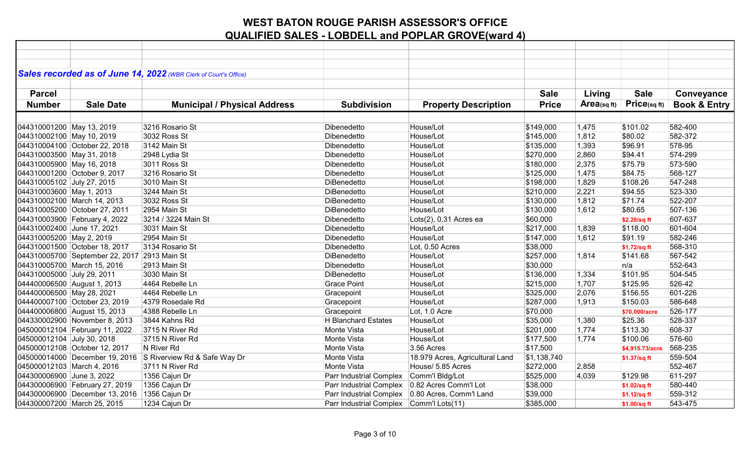|                            |                                              | Sales recorded as of June 14, 2022 (WBR Clerk of Court's Office) |                                         |                                                   |              |                |                 |                         |
|----------------------------|----------------------------------------------|------------------------------------------------------------------|-----------------------------------------|---------------------------------------------------|--------------|----------------|-----------------|-------------------------|
|                            |                                              |                                                                  |                                         |                                                   |              |                |                 |                         |
| <b>Parcel</b>              |                                              |                                                                  |                                         |                                                   | <b>Sale</b>  | Living         | <b>Sale</b>     | Conveyance              |
| <b>Number</b>              | <b>Sale Date</b>                             | <b>Municipal / Physical Address</b>                              | <b>Subdivision</b>                      | <b>Property Description</b>                       | <b>Price</b> | $Area$ (sq ft) | Price(sqft)     | <b>Book &amp; Entry</b> |
|                            |                                              |                                                                  |                                         |                                                   |              |                |                 |                         |
| 044310001200 May 13, 2019  |                                              | 3216 Rosario St                                                  | Dibenedetto                             | House/Lot                                         | \$149,000    | 1,475          | \$101.02        | 582-400                 |
| 044310002100 May 10, 2019  |                                              | 3032 Ross St                                                     | Dibenedetto                             | House/Lot                                         | \$145,000    | 1,812          | \$80.02         | 582-372                 |
|                            | 044310004100 October 22, 2018                | 3142 Main St                                                     | Dibenedetto                             | House/Lot                                         | \$135,000    | 1,393          | \$96.91         | 578-95                  |
| 044310003500 May 31, 2018  |                                              | 2948 Lydia St                                                    | Dibenedetto                             | House/Lot                                         | \$270,000    | 2,860          | \$94.41         | 574-299                 |
| 044310005900 May 16, 2018  |                                              | 3011 Ross St                                                     | Dibenedetto                             | House/Lot                                         | \$180,000    | 2,375          | \$75.79         | 573-590                 |
|                            | 044310001200 October 9, 2017                 | 3216 Rosario St                                                  | Dibenedetto                             | House/Lot                                         | \$125,000    | 1,475          | \$84.75         | 568-127                 |
| 044310005102 July 27, 2015 |                                              | 3010 Main St                                                     | DiBenedetto                             | House/Lot                                         | \$198,000    | 1,829          | \$108.26        | 547-248                 |
| 044310003600 May 1, 2013   |                                              | 3244 Main St                                                     | DiBenedetto                             | House/Lot                                         | \$210,000    | 2,221          | \$94.55         | 523-330                 |
|                            | 044310002100 March 14, 2013                  | 3032 Ross St                                                     | DiBenedetto                             | House/Lot                                         | \$130,000    | 1,812          | \$71.74         | 522-207                 |
|                            | 044310005200 October 27, 2011                | 2954 Main St                                                     | DiBenedetto                             | House/Lot                                         | \$130,000    | 1,612          | \$80.65         | 507-136                 |
|                            | 044310003900 February 4, 2022                | 3214 / 3224 Main St                                              | Dibenedetto                             | Lots(2), 0.31 Acres ea                            | \$60,000     |                | \$2.28/sq ft    | 607-637                 |
| 044310002400 June 17, 2021 |                                              | 3031 Main St                                                     | Dibenedetto                             | House/Lot                                         | \$217,000    | 1,839          | \$118.00        | 601-604                 |
| 044310005200 May 2, 2019   |                                              | 2954 Main St                                                     | Dibenedetto                             | House/Lot                                         | \$147,000    | 1,612          | \$91.19         | 582-246                 |
|                            | 044310001500 October 18, 2017                | 3134 Rosario St                                                  | Dibenedetto                             | Lot, 0.50 Acres                                   | \$38,000     |                | \$1.72/sq ft    | 568-310                 |
|                            | 044310005700 September 22, 2017 2913 Main St |                                                                  | DiBenedetto                             | House/Lot                                         | \$257,000    | 1,814          | \$141.68        | 567-542                 |
|                            | 044310005700 March 15, 2016                  | 2913 Main St                                                     | Dibenedetto                             | House/Lot                                         | \$30,000     |                | n/a             | 552-643                 |
| 044310005000 July 29, 2011 |                                              | 3030 Main St                                                     | DiBenedetto                             | House/Lot                                         | \$136,000    | 1,334          | \$101.95        | 504-545                 |
|                            | 044400006500 August 1, 2013                  | 4464 Rebelle Ln                                                  | <b>Grace Point</b>                      | House/Lot                                         | \$215,000    | 1,707          | \$125.95        | 526-42                  |
| 044400006500 May 28, 2021  |                                              | 4464 Rebelle Ln                                                  | Gracepoint                              | House/Lot                                         | \$325,000    | 2,076          | \$156.55        | 601-226                 |
|                            | 044400007100 October 23, 2019                | 4379 Rosedale Rd                                                 | Gracepoint                              | House/Lot                                         | \$287,000    | 1,913          | \$150.03        | 586-648                 |
|                            | 044400006800 August 15, 2013                 | 4388 Rebelle Ln                                                  | Gracepoint                              | Lot, 1.0 Acre                                     | \$70,000     |                | \$70,000/acre   | 526-177                 |
|                            | 044330002900 November 8, 2013                | 3844 Kahns Rd                                                    | <b>H</b> Blanchard Estates              | House/Lot                                         | \$35,000     | 1,380          | \$25.36         | 528-337                 |
|                            | 045000012104 February 11, 2022               | 3715 N River Rd                                                  | Monte Vista                             | House/Lot                                         | \$201,000    | 1,774          | \$113.30        | 608-37                  |
| 045000012104 July 30, 2018 |                                              | 3715 N River Rd                                                  | Monte Vista                             | House/Lot                                         | \$177,500    | 1,774          | \$100.06        | 576-60                  |
|                            | 045000012108 October 12, 2017                | N River Rd                                                       | Monte Vista                             | 3.56 Acres                                        | \$17,500     |                | \$4,915.73/acre | 568-235                 |
|                            |                                              | 045000014000 December 19, 2016 S Riverview Rd & Safe Way Dr      | Monte Vista                             | 18.979 Acres, Agricultural Land                   | \$1,138,740  |                | \$1.37/sq ft    | 559-504                 |
| 045000012103 March 4, 2016 |                                              | 3711 N River Rd                                                  | Monte Vista                             | House/ 5.85 Acres                                 | \$272,000    | 2,858          |                 | 552-467                 |
| 044300006900 June 3, 2022  |                                              | 1356 Cajun Dr                                                    | Parr Industrial Complex                 | Comm'l Bldg/Lot                                   | \$525,000    | 4,039          | \$129.98        | 611-297                 |
|                            | 044300006900 February 27, 2019               | 1356 Cajun Dr                                                    | Parr Industrial Complex                 | 0.82 Acres Comm'l Lot                             | \$38,000     |                | \$1.02/sq ft    | 580-440                 |
|                            | 044300006900 December 13, 2016 1356 Cajun Dr |                                                                  |                                         | Parr Industrial Complex   0.80 Acres, Comm'l Land | \$39,000     |                | \$1.12/sq ft    | 559-312                 |
|                            | 044300007200 March 25, 2015                  | 1234 Cajun Dr                                                    | Parr Industrial Complex Comm'l Lots(11) |                                                   | \$385,000    |                | \$1.00/sq ft    | 543-475                 |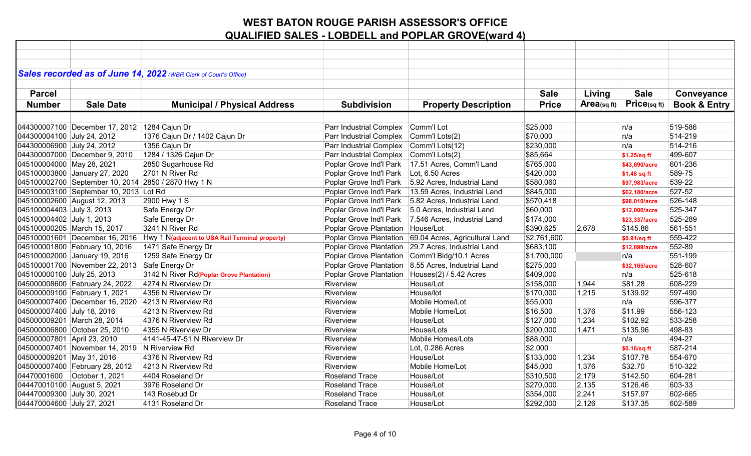|                             |                                               | Sales recorded as of June 14, 2022 (WBR Clerk of Court's Office) |                                                  |                                                        |              |                   |               |                         |
|-----------------------------|-----------------------------------------------|------------------------------------------------------------------|--------------------------------------------------|--------------------------------------------------------|--------------|-------------------|---------------|-------------------------|
|                             |                                               |                                                                  |                                                  |                                                        |              |                   |               |                         |
| <b>Parcel</b>               |                                               |                                                                  |                                                  |                                                        | <b>Sale</b>  | Living            | <b>Sale</b>   | Conveyance              |
| <b>Number</b>               | <b>Sale Date</b>                              | <b>Municipal / Physical Address</b>                              | <b>Subdivision</b>                               | <b>Property Description</b>                            | <b>Price</b> | $Area_{(sq\,ft)}$ | Price(sqft)   | <b>Book &amp; Entry</b> |
|                             |                                               |                                                                  |                                                  |                                                        |              |                   |               |                         |
|                             | 044300007100 December 17, 2012 1284 Cajun Dr  |                                                                  | Parr Industrial Complex                          | Comm'l Lot                                             | \$25,000     |                   | n/a           | 519-586                 |
| 044300004100 July 24, 2012  |                                               | 1376 Cajun Dr / 1402 Cajun Dr                                    | Parr Industrial Complex                          | Comm'l Lots(2)                                         | \$70,000     |                   | n/a           | 514-219                 |
| 044300006900 July 24, 2012  |                                               | 1356 Cajun Dr                                                    | Parr Industrial Complex                          | Comm'l Lots(12)                                        | \$230,000    |                   | n/a           | 514-216                 |
|                             | 044300007000 December 9, 2010                 | 1284 / 1326 Cajun Dr                                             | Parr Industrial Complex                          | Comm'l Lots(2)                                         | \$85,664     |                   | \$1.25/sq ft  | 499-607                 |
| 045100004000 May 28, 2021   |                                               | 2850 Sugarhouse Rd                                               | Poplar Grove Ind'l Park                          | 17.51 Acres, Comm'l Land                               | \$765,000    |                   | \$43,690/acre | 601-236                 |
|                             | 045100003800 January 27, 2020                 | 2701 N River Rd                                                  | Poplar Grove Ind'l Park                          | Lot, 6.50 Acres                                        | \$420,000    |                   | \$1.48 sq ft  | 589-75                  |
|                             |                                               | 045100002700 September 10, 2014 2850 / 2870 Hwy 1 N              | Poplar Grove Ind'l Park                          | 5.92 Acres, Industrial Land                            | \$580,060    |                   | \$97,983/acre | 539-22                  |
|                             | 045100003100 September 10, 2013 Lot Rd        |                                                                  | Poplar Grove Ind'l Park                          | 13.59 Acres, Industrial Land                           | \$845,000    |                   | \$62,180/acre | 527-52                  |
|                             | 045100002600 August 12, 2013                  | 2900 Hwy 1 S                                                     | Poplar Grove Ind'l Park                          | 5.82 Acres, Industrial Land                            | \$570,418    |                   | \$98,010/acre | 526-148                 |
| 045100004403 July 3, 2013   |                                               | Safe Energy Dr                                                   | Poplar Grove Ind'l Park                          | 5.0 Acres, Industrial Land                             | \$60,000     |                   | \$12,000/acre | 525-347                 |
| 045100004402 July 1, 2013   |                                               | Safe Energy Dr                                                   | Poplar Grove Ind'l Park                          | 7.546 Acres, Industrial Land                           | \$174,000    |                   | \$23,337/acre | 525-289                 |
|                             | 045100000205 March 15, 2017                   | 3241 N River Rd                                                  | Poplar Grove Plantation                          | House/Lot                                              | \$390,625    | 2,678             | \$145.86      | 561-551                 |
|                             | 045100001601 December 16, 2016                | Hwy 1 N(adjacent to USA Rail Terminal property)                  |                                                  | Poplar Grove Plantation 69.04 Acres, Agricultural Land | \$2,761,600  |                   | \$0.91/sq ft  | 559-422                 |
|                             | 045100001800 February 10, 2016                | 1471 Safe Energy Dr                                              |                                                  | Poplar Grove Plantation 29.7 Acres, Industrial Land    | \$683,100    |                   | \$12,899/acre | 552-89                  |
|                             | 045100002000 January 19, 2016                 | 1259 Safe Energy Dr                                              | Poplar Grove Plantation                          | Comm'l Bldg/10.1 Acres                                 | \$1,700,000  |                   | n/a           | 551-199                 |
|                             | 045100001700 November 22, 2013 Safe Energy Dr |                                                                  | Poplar Grove Plantation                          | 8.55 Acres, Industrial Land                            | \$275,000    |                   | \$32,165/acre | 528-607                 |
| 045100000100 July 25, 2013  |                                               | 3142 N River Rd(Poplar Grove Plantation)                         | Poplar Grove Plantation   Houses(2) / 5.42 Acres |                                                        | \$409,000    |                   | n/a           | 525-618                 |
|                             | 045000008600 February 24, 2022                | 4274 N Riverview Dr                                              | Riverview                                        | House/Lot                                              | \$158,000    | 1,944             | \$81.28       | 608-229                 |
|                             | 045000009100 February 1, 2021                 | 4356 N Riverview Dr                                              | Riverview                                        | House/lot                                              | \$170,000    | 1,215             | \$139.92      | 597-490                 |
|                             |                                               | 045000007400 December 16, 2020 4213 N Riverview Rd               | Riverview                                        | Mobile Home/Lot                                        | \$55,000     |                   | n/a           | 596-377                 |
| 045000007400 July 18, 2016  |                                               | 4213 N Riverview Rd                                              | Riverview                                        | Mobile Home/Lot                                        | \$16,500     | 1,376             | \$11.99       | 556-123                 |
|                             | 045000009201 March 28, 2014                   | 4376 N Riverview Rd                                              | Riverview                                        | House/Lot                                              | \$127,000    | 1,234             | \$102.92      | 533-258                 |
|                             | 045000006800 October 25, 2010                 | 4355 N Riverview Dr                                              | Riverview                                        | House/Lots                                             | \$200,000    | 1,471             | \$135.96      | 498-83                  |
| 045000007801 April 23, 2010 |                                               | 4141-45-47-51 N Riverview Dr                                     | Riverview                                        | Mobile Homes/Lots                                      | \$88,000     |                   | n/a           | 494-27                  |
|                             | 045000007401 November 14, 2019 N Riverview Rd |                                                                  | Riverview                                        | Lot, 0.286 Acres                                       | \$2,000      |                   | \$0.16/sq ft  | 587-214                 |
| 045000009201 May 31, 2016   |                                               | 4376 N Riverview Rd                                              | Riverview                                        | House/Lot                                              | \$133,000    | 1,234             | \$107.78      | 554-670                 |
|                             | 045000007400 February 28, 2012                | 4213 N Riverview Rd                                              | Riverview                                        | Mobile Home/Lot                                        | \$45,000     | 1,376             | \$32.70       | 510-322                 |
| 04470001600                 | October 1, 2021                               | 4404 Roseland Dr                                                 | <b>Roseland Trace</b>                            | House/Lot                                              | \$310,500    | 2,179             | \$142.50      | 604-281                 |
| 044470010100 August 5, 2021 |                                               | 3976 Roseland Dr                                                 | <b>Roseland Trace</b>                            | House/Lot                                              | \$270,000    | 2,135             | \$126.46      | 603-33                  |
| 044470009300 July 30, 2021  |                                               | 143 Rosebud Dr                                                   | <b>Roseland Trace</b>                            | House/Lot                                              | \$354,000    | 2,241             | \$157.97      | 602-665                 |
| 044470004600 July 27, 2021  |                                               | 4131 Roseland Dr                                                 | <b>Roseland Trace</b>                            | House/Lot                                              | \$292,000    | 2,126             | \$137.35      | 602-589                 |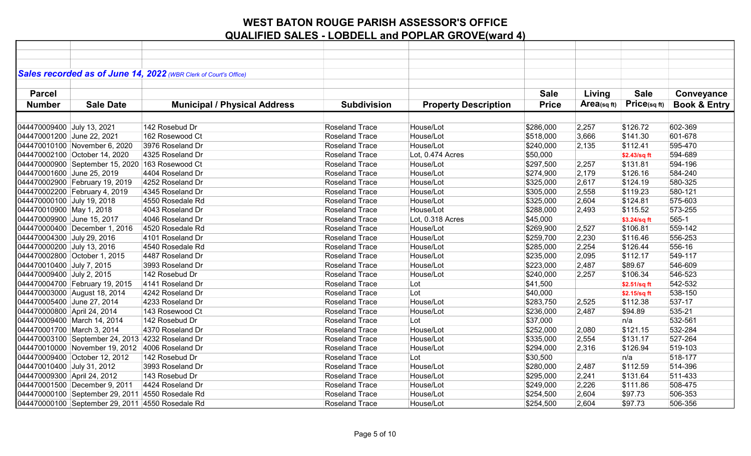|                             |                                                  | Sales recorded as of June 14, 2022 (WBR Clerk of Court's Office) |                       |                             |              |            |              |                         |
|-----------------------------|--------------------------------------------------|------------------------------------------------------------------|-----------------------|-----------------------------|--------------|------------|--------------|-------------------------|
|                             |                                                  |                                                                  |                       |                             | <b>Sale</b>  |            |              |                         |
| <b>Parcel</b>               |                                                  |                                                                  |                       |                             |              | Living     | <b>Sale</b>  | Conveyance              |
| <b>Number</b>               | <b>Sale Date</b>                                 | <b>Municipal / Physical Address</b>                              | <b>Subdivision</b>    | <b>Property Description</b> | <b>Price</b> | Area(sqft) | Price(sqft)  | <b>Book &amp; Entry</b> |
|                             |                                                  |                                                                  |                       |                             |              |            |              |                         |
| 044470009400 July 13, 2021  |                                                  | 142 Rosebud Dr                                                   | <b>Roseland Trace</b> | House/Lot                   | \$286,000    | 2,257      | \$126.72     | 602-369                 |
| 044470001200 June 22, 2021  |                                                  | 162 Rosewood Ct                                                  | <b>Roseland Trace</b> | House/Lot                   | \$518,000    | 3,666      | \$141.30     | 601-678                 |
|                             | 044470010100 November 6, 2020                    | 3976 Roseland Dr                                                 | <b>Roseland Trace</b> | House/Lot                   | \$240,000    | 2,135      | \$112.41     | 595-470                 |
|                             | 044470002100 October 14, 2020                    | 4325 Roseland Dr                                                 | <b>Roseland Trace</b> | Lot, 0.474 Acres            | \$50,000     |            | \$2.43/sq ft | 594-689                 |
|                             | 044470000900 September 15, 2020 163 Rosewood Ct  |                                                                  | Roseland Trace        | House/Lot                   | \$297,500    | 2,257      | \$131.81     | 594-196                 |
| 044470001600 June 25, 2019  |                                                  | 4404 Roseland Dr                                                 | <b>Roseland Trace</b> | House/Lot                   | \$274,900    | 2,179      | \$126.16     | 584-240                 |
|                             | 044470002900 February 19, 2019                   | 4252 Roseland Dr                                                 | <b>Roseland Trace</b> | House/Lot                   | \$325,000    | 2,617      | \$124.19     | 580-325                 |
|                             | 044470002200 February 4, 2019                    | 4345 Roseland Dr                                                 | Roseland Trace        | House/Lot                   | \$305,000    | 2,558      | \$119.23     | 580-121                 |
| 044470000100 July 19, 2018  |                                                  | 4550 Rosedale Rd                                                 | Roseland Trace        | House/Lot                   | \$325,000    | 2,604      | \$124.81     | 575-603                 |
| 044470010900 May 1, 2018    |                                                  | 4043 Roseland Dr                                                 | <b>Roseland Trace</b> | House/Lot                   | \$288,000    | 2,493      | \$115.52     | 573-255                 |
| 044470009900 June 15, 2017  |                                                  | 4046 Roseland Dr                                                 | <b>Roseland Trace</b> | Lot, 0.318 Acres            | \$45,000     |            | \$3.24/sq ft | 565-1                   |
|                             | 044470000400 December 1, 2016                    | 4520 Rosedale Rd                                                 | <b>Roseland Trace</b> | House/Lot                   | \$269,900    | 2,527      | \$106.81     | 559-142                 |
| 044470004300 July 29, 2016  |                                                  | 4101 Roseland Dr                                                 | Roseland Trace        | House/Lot                   | \$259,700    | 2,230      | \$116.46     | 556-253                 |
| 044470000200 July 13, 2016  |                                                  | 4540 Rosedale Rd                                                 | <b>Roseland Trace</b> | House/Lot                   | \$285,000    | 2,254      | \$126.44     | 556-16                  |
|                             | 044470002800 October 1, 2015                     | 4487 Roseland Dr                                                 | Roseland Trace        | House/Lot                   | \$235,000    | 2,095      | \$112.17     | 549-117                 |
| 044470010400 July 7, 2015   |                                                  | 3993 Roseland Dr                                                 | Roseland Trace        | House/Lot                   | \$223,000    | 2,487      | \$89.67      | 546-609                 |
| 044470009400 July 2, 2015   |                                                  | 142 Rosebud Dr                                                   | Roseland Trace        | House/Lot                   | \$240,000    | 2,257      | \$106.34     | 546-523                 |
|                             | 044470004700 February 19, 2015                   | 4141 Roseland Dr                                                 | <b>Roseland Trace</b> | Lot                         | \$41,500     |            | \$2.51/sq ft | 542-532                 |
|                             | 044470003000 August 18, 2014                     | 4242 Roseland Dr                                                 | <b>Roseland Trace</b> | Lot                         | \$40,000     |            | \$2.15/sq ft | 538-150                 |
| 044470005400 June 27, 2014  |                                                  | 4233 Roseland Dr                                                 | <b>Roseland Trace</b> | House/Lot                   | \$283,750    | 2,525      | \$112.38     | 537-17                  |
| 044470000800 April 24, 2014 |                                                  | 143 Rosewood Ct                                                  | <b>Roseland Trace</b> | House/Lot                   | \$236,000    | 2,487      | \$94.89      | 535-21                  |
|                             | 044470009400 March 14, 2014                      | 142 Rosebud Dr                                                   | Roseland Trace        | Lot                         | \$37,000     |            | n/a          | 532-561                 |
| 044470001700 March 3, 2014  |                                                  | 4370 Roseland Dr                                                 | Roseland Trace        | House/Lot                   | \$252,000    | 2,080      | \$121.15     | 532-284                 |
|                             | 044470003100 September 24, 2013 4232 Roseland Dr |                                                                  | Roseland Trace        | House/Lot                   | \$335,000    | 2,554      | \$131.17     | 527-264                 |
|                             | 044470010000 November 19, 2012 4006 Roseland Dr  |                                                                  | Roseland Trace        | House/Lot                   | \$294,000    | 2,316      | \$126.94     | 519-103                 |
|                             | 044470009400 October 12, 2012                    | 142 Rosebud Dr                                                   | <b>Roseland Trace</b> | Lot                         | \$30,500     |            | n/a          | 518-177                 |
| 044470010400 July 31, 2012  |                                                  | 3993 Roseland Dr                                                 | <b>Roseland Trace</b> | House/Lot                   | \$280,000    | 2,487      | \$112.59     | 514-396                 |
| 044470009300 April 24, 2012 |                                                  | 143 Rosebud Dr                                                   | <b>Roseland Trace</b> | House/Lot                   | \$295,000    | 2,241      | \$131.64     | 511-433                 |
|                             | 044470001500 December 9, 2011                    | 4424 Roseland Dr                                                 | <b>Roseland Trace</b> | House/Lot                   | \$249,000    | 2,226      | \$111.86     | 508-475                 |
|                             | 044470000100 September 29, 2011 4550 Rosedale Rd |                                                                  | Roseland Trace        | House/Lot                   | \$254,500    | 2,604      | \$97.73      | 506-353                 |
|                             | 044470000100 September 29, 2011 4550 Rosedale Rd |                                                                  | Roseland Trace        | House/Lot                   | \$254,500    | 2,604      | \$97.73      | 506-356                 |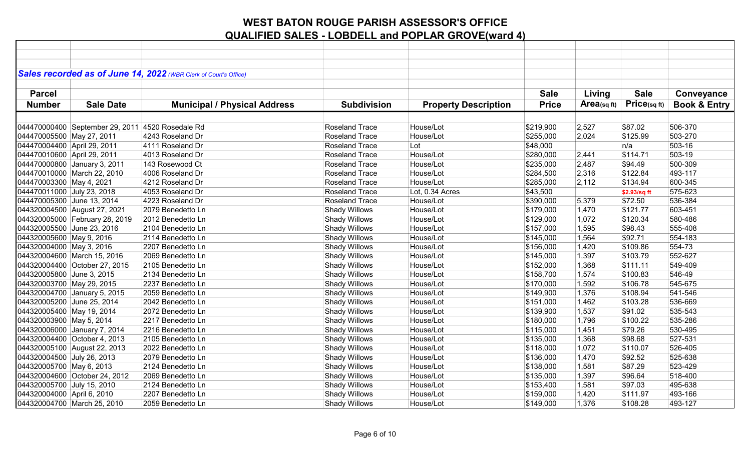|                             |                                                  | Sales recorded as of June 14, 2022 (WBR Clerk of Court's Office) |                       |                             |              |             |              |                         |
|-----------------------------|--------------------------------------------------|------------------------------------------------------------------|-----------------------|-----------------------------|--------------|-------------|--------------|-------------------------|
|                             |                                                  |                                                                  |                       |                             |              |             |              |                         |
| <b>Parcel</b>               |                                                  |                                                                  |                       |                             | <b>Sale</b>  | Living      | <b>Sale</b>  | Conveyance              |
| <b>Number</b>               | <b>Sale Date</b>                                 | <b>Municipal / Physical Address</b>                              | <b>Subdivision</b>    | <b>Property Description</b> | <b>Price</b> | Area(sq ft) | Price(sq ft) | <b>Book &amp; Entry</b> |
|                             |                                                  |                                                                  |                       |                             |              |             |              |                         |
|                             | 044470000400 September 29, 2011 4520 Rosedale Rd |                                                                  | Roseland Trace        | House/Lot                   | \$219,900    | 2,527       | \$87.02      | 506-370                 |
| 044470005500 May 27, 2011   |                                                  | 4243 Roseland Dr                                                 | Roseland Trace        | House/Lot                   | \$255,000    | 2,024       | \$125.99     | 503-270                 |
| 044470004400 April 29, 2011 |                                                  | 4111 Roseland Dr                                                 | <b>Roseland Trace</b> | Lot                         | \$48,000     |             | n/a          | 503-16                  |
| 044470010600 April 29, 2011 |                                                  | 4013 Roseland Dr                                                 | Roseland Trace        | House/Lot                   | \$280,000    | 2,441       | \$114.71     | 503-19                  |
|                             | 044470000800 January 3, 2011                     | 143 Rosewood Ct                                                  | Roseland Trace        | House/Lot                   | \$235,000    | 2,487       | \$94.49      | 500-309                 |
|                             | 044470010000 March 22, 2010                      | 4006 Roseland Dr                                                 | Roseland Trace        | House/Lot                   | \$284,500    | 2,316       | \$122.84     | 493-117                 |
| 044470003300 May 4, 2021    |                                                  | 4212 Roseland Dr                                                 | Roseland Trace        | House/Lot                   | \$285,000    | 2,112       | \$134.94     | 600-345                 |
| 044470011000 July 23, 2018  |                                                  | 4053 Roseland Dr                                                 | Roseland Trace        | Lot, 0.34 Acres             | \$43,500     |             | \$2.93/sq ft | 575-623                 |
| 044470005300 June 13, 2014  |                                                  | 4223 Roseland Dr                                                 | Roseland Trace        | House/Lot                   | \$390,000    | 5,379       | \$72.50      | 536-384                 |
|                             | 044320004500 August 27, 2021                     | 2079 Benedetto Ln                                                | <b>Shady Willows</b>  | House/Lot                   | \$179,000    | 1,470       | \$121.77     | 603-451                 |
|                             | 044320005000 February 28, 2019                   | 2012 Benedetto Ln                                                | Shady Willows         | House/Lot                   | \$129,000    | 1,072       | \$120.34     | 580-486                 |
| 044320005500 June 23, 2016  |                                                  | 2104 Benedetto Ln                                                | Shady Willows         | House/Lot                   | \$157,000    | 1,595       | \$98.43      | 555-408                 |
| 044320005600 May 9, 2016    |                                                  | 2114 Benedetto Ln                                                | Shady Willows         | House/Lot                   | \$145,000    | 1,564       | \$92.71      | 554-183                 |
| 044320004000 May 3, 2016    |                                                  | 2207 Benedetto Ln                                                | <b>Shady Willows</b>  | House/Lot                   | \$156,000    | 1,420       | \$109.86     | 554-73                  |
|                             | 044320004600 March 15, 2016                      | 2069 Benedetto Ln                                                | Shady Willows         | House/Lot                   | \$145,000    | 1,397       | \$103.79     | 552-627                 |
|                             | 044320004400 October 27, 2015                    | 2105 Benedetto Ln                                                | <b>Shady Willows</b>  | House/Lot                   | \$152,000    | 1,368       | \$111.11     | 549-409                 |
| 044320005800 June 3, 2015   |                                                  | 2134 Benedetto Ln                                                | <b>Shady Willows</b>  | House/Lot                   | \$158,700    | 1,574       | \$100.83     | 546-49                  |
| 044320003700 May 29, 2015   |                                                  | 2237 Benedetto Ln                                                | <b>Shady Willows</b>  | House/Lot                   | \$170,000    | 1,592       | \$106.78     | 545-675                 |
|                             | 044320004700 January 5, 2015                     | 2059 Benedetto Ln                                                | <b>Shady Willows</b>  | House/Lot                   | \$149,900    | 1,376       | \$108.94     | 541-546                 |
| 044320005200 June 25, 2014  |                                                  | 2042 Benedetto Ln                                                | Shady Willows         | House/Lot                   | \$151,000    | 1,462       | \$103.28     | 536-669                 |
| 044320005400 May 19, 2014   |                                                  | 2072 Benedetto Ln                                                | Shady Willows         | House/Lot                   | \$139,900    | 1,537       | \$91.02      | 535-543                 |
| 044320003900 May 5, 2014    |                                                  | 2217 Benedetto Ln                                                | <b>Shady Willows</b>  | House/Lot                   | \$180,000    | 1,796       | \$100.22     | 535-286                 |
|                             | 044320006000 January 7, 2014                     | 2216 Benedetto Ln                                                | <b>Shady Willows</b>  | House/Lot                   | \$115,000    | 1,451       | \$79.26      | 530-495                 |
|                             | 044320004400 October 4, 2013                     | 2105 Benedetto Ln                                                | <b>Shady Willows</b>  | House/Lot                   | \$135,000    | 1,368       | \$98.68      | 527-531                 |
|                             | 044320005100 August 22, 2013                     | 2022 Benedetto Ln                                                | <b>Shady Willows</b>  | House/Lot                   | \$118,000    | 1,072       | \$110.07     | 526-405                 |
| 044320004500 July 26, 2013  |                                                  | 2079 Benedetto Ln                                                | Shady Willows         | House/Lot                   | \$136,000    | 1,470       | \$92.52      | 525-638                 |
| 044320005700 May 6, 2013    |                                                  | 2124 Benedetto Ln                                                | Shady Willows         | House/Lot                   | \$138,000    | 1,581       | \$87.29      | 523-429                 |
|                             | 044320004600 October 24, 2012                    | 2069 Benedetto Ln                                                | Shady Willows         | House/Lot                   | \$135,000    | 1,397       | \$96.64      | 518-400                 |
| 044320005700 July 15, 2010  |                                                  | 2124 Benedetto Ln                                                | Shady Willows         | House/Lot                   | \$153,400    | 1,581       | \$97.03      | 495-638                 |
| 044320004000 April 6, 2010  |                                                  | 2207 Benedetto Ln                                                | Shady Willows         | House/Lot                   | \$159,000    | 1,420       | \$111.97     | 493-166                 |
|                             | 044320004700 March 25, 2010                      | 2059 Benedetto Ln                                                | <b>Shady Willows</b>  | House/Lot                   | \$149,000    | 1,376       | \$108.28     | 493-127                 |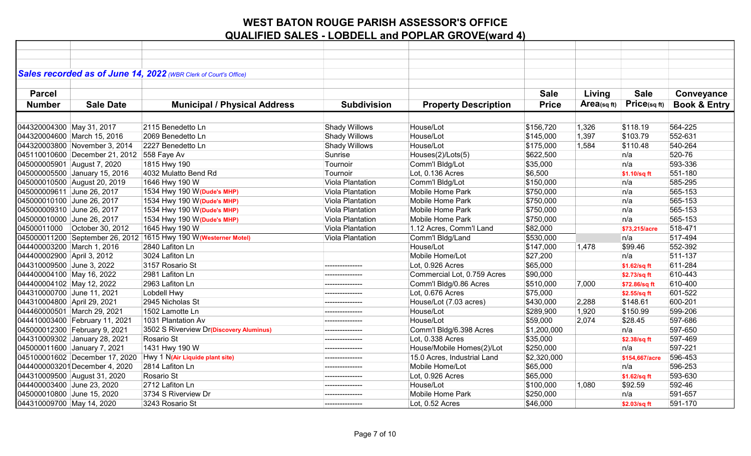|                               |                                            | Sales recorded as of June 14, 2022 (WBR Clerk of Court's Office) |                      |                             |              |            |                |                         |
|-------------------------------|--------------------------------------------|------------------------------------------------------------------|----------------------|-----------------------------|--------------|------------|----------------|-------------------------|
| <b>Parcel</b>                 |                                            |                                                                  |                      |                             | <b>Sale</b>  | Living     | <b>Sale</b>    | Conveyance              |
|                               |                                            |                                                                  |                      |                             |              |            |                |                         |
| <b>Number</b>                 | <b>Sale Date</b>                           | <b>Municipal / Physical Address</b>                              | <b>Subdivision</b>   | <b>Property Description</b> | <b>Price</b> | Area(sqft) | Price(sqft)    | <b>Book &amp; Entry</b> |
|                               |                                            |                                                                  |                      |                             |              |            |                |                         |
| 044320004300 May 31, 2017     |                                            | 2115 Benedetto Ln                                                | <b>Shady Willows</b> | House/Lot                   | \$156,720    | 1,326      | \$118.19       | 564-225                 |
| 044320004600 March 15, 2016   |                                            | 2069 Benedetto Ln                                                | Shady Willows        | House/Lot                   | \$145,000    | 1,397      | \$103.79       | 552-631                 |
|                               | 044320003800 November 3, 2014              | 2227 Benedetto Ln                                                | <b>Shady Willows</b> | House/Lot                   | \$175,000    | 1,584      | \$110.48       | 540-264                 |
|                               | 045110010600 December 21, 2012 558 Faye Av |                                                                  | Sunrise              | Houses(2)/Lots(5)           | \$622,500    |            | n/a            | 520-76                  |
| 045000005901 August 7, 2020   |                                            | 1815 Hwy 190                                                     | Tournoir             | Comm'l Bldg/Lot             | \$35,000     |            | n/a            | 593-336                 |
|                               | 045000005500 January 15, 2016              | 4032 Mulatto Bend Rd                                             | Tournoir             | Lot, 0.136 Acres            | \$6,500      |            | \$1.10/sq ft   | 551-180                 |
| 045000010500 August 20, 2019  |                                            | 1646 Hwy 190 W                                                   | Viola Plantation     | Comm'l Bldg/Lot             | \$150,000    |            | n/a            | 585-295                 |
| 045000009611 June 26, 2017    |                                            | 1534 Hwy 190 W (Dude's MHP)                                      | Viola Plantation     | Mobile Home Park            | \$750,000    |            | n/a            | 565-153                 |
| 045000010100 June 26, 2017    |                                            | 1534 Hwy 190 W (Dude's MHP)                                      | Viola Plantation     | Mobile Home Park            | \$750,000    |            | n/a            | 565-153                 |
| 045000009310 June 26, 2017    |                                            | 1534 Hwy 190 W (Dude's MHP)                                      | Viola Plantation     | Mobile Home Park            | \$750,000    |            | n/a            | 565-153                 |
| 045000010000 June 26, 2017    |                                            | 1534 Hwy 190 W (Dude's MHP)                                      | Viola Plantation     | <b>Mobile Home Park</b>     | \$750,000    |            | n/a            | 565-153                 |
|                               | 04500011000 October 30, 2012               | 1645 Hwy 190 W                                                   | Viola Plantation     | 1.12 Acres, Comm'l Land     | \$82,000     |            | \$73,215/acre  | 518-471                 |
|                               |                                            | 045000011200 September 26, 2012 1615 Hwy 190 W(Westerner Motel)  | Viola Plantation     | Comm'l Bldg/Land            | \$530,000    |            | n/a            | 517-494                 |
| 044400003200 March 1, 2016    |                                            | 2840 Lafiton Ln                                                  |                      | House/Lot                   | \$147,000    | 1,478      | \$99.46        | 552-392                 |
| 044400002900 April 3, 2012    |                                            | 3024 Lafiton Ln                                                  |                      | Mobile Home/Lot             | \$27,200     |            | n/a            | 511-137                 |
| 044310009500 June 3, 2022     |                                            | 3157 Rosario St                                                  |                      | Lot, 0.926 Acres            | \$65,000     |            | \$1.62/sq ft   | 611-284                 |
| 044400004100 May 16, 2022     |                                            | 2981 Lafiton Ln                                                  |                      | Commercial Lot, 0.759 Acres | \$90,000     |            | \$2.73/sq ft   | 610-443                 |
| 044400004102 May 12, 2022     |                                            | 2963 Lafiton Ln                                                  |                      | Comm'l Bldg/0.86 Acres      | \$510,000    | 7,000      | \$72.86/sq ft  | 610-400                 |
| 044310000700 June 11, 2021    |                                            | Lobdell Hwy                                                      | ---------------      | Lot, 0.676 Acres            | \$75,000     |            | \$2.55/sq ft   | 601-522                 |
| 044310004800 April 29, 2021   |                                            | 2945 Nicholas St                                                 |                      | House/Lot (7.03 acres)      | \$430,000    | 2,288      | \$148.61       | 600-201                 |
| 044460000501 March 29, 2021   |                                            | 1502 Lamotte Ln                                                  | ---------------      | House/Lot                   | \$289,900    | 1,920      | \$150.99       | 599-206                 |
|                               | 044410003400 February 11, 2021             | 1031 Plantation Av                                               | ---------------      | House/Lot                   | \$59,000     | 2,074      | \$28.45        | 597-686                 |
| 045000012300 February 9, 2021 |                                            | 3502 S Riverview Dr(Discovery Aluminus)                          | ---------------      | Comm'l Bldg/6.398 Acres     | \$1,200,000  |            | n/a            | 597-650                 |
| 044310009302 January 28, 2021 |                                            | Rosario St                                                       |                      | Lot, 0.338 Acres            | \$35,000     |            | \$2.38/sq ft   | 597-469                 |
| 045000011600 January 7, 2021  |                                            | 1431 Hwy 190 W                                                   | ---------------      | House/Mobile Homes(2)/Lot   | \$250,000    |            | n/a            | 597-221                 |
|                               | 045100001602 December 17, 2020             | Hwy 1 N(Air Liquide plant site)                                  |                      | 15.0 Acres, Industrial Land | \$2,320,000  |            | \$154,667/acre | 596-453                 |
|                               | 0444000003201December 4, 2020              | 2814 Lafiton Ln                                                  | ---------------      | Mobile Home/Lot             | \$65,000     |            | n/a            | 596-253                 |
| 044310009500 August 31, 2020  |                                            | Rosario St                                                       | ---------------      | Lot, 0.926 Acres            | \$65,000     |            | \$1.62/sq ft   | 593-630                 |
| 044400003400 June 23, 2020    |                                            | 2712 Lafiton Ln                                                  |                      | House/Lot                   | \$100,000    | 1,080      | \$92.59        | 592-46                  |
| 045000010800 June 15, 2020    |                                            | 3734 S Riverview Dr                                              |                      | <b>Mobile Home Park</b>     | \$250,000    |            | ∣n/a           | 591-657                 |
| 044310009700 May 14, 2020     |                                            | 3243 Rosario St                                                  | ---------------      | Lot, 0.52 Acres             | \$46,000     |            | $$2.03/sq$ ft  | 591-170                 |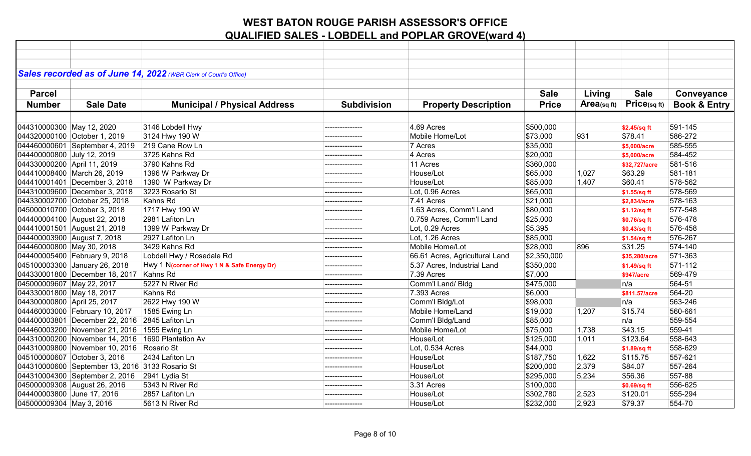|                             |                                                 | Sales recorded as of June 14, 2022 (WBR Clerk of Court's Office) |                    |                                |              |                   |                   |                         |
|-----------------------------|-------------------------------------------------|------------------------------------------------------------------|--------------------|--------------------------------|--------------|-------------------|-------------------|-------------------------|
|                             |                                                 |                                                                  |                    |                                |              |                   |                   |                         |
| <b>Parcel</b>               |                                                 |                                                                  |                    |                                | <b>Sale</b>  | Living            | <b>Sale</b>       | Conveyance              |
| <b>Number</b>               | <b>Sale Date</b>                                | <b>Municipal / Physical Address</b>                              | <b>Subdivision</b> | <b>Property Description</b>    | <b>Price</b> | $Area_{(sq\,ft)}$ | Price(sq ft)      | <b>Book &amp; Entry</b> |
|                             |                                                 |                                                                  |                    |                                |              |                   |                   |                         |
| 044310000300 May 12, 2020   |                                                 | 3146 Lobdell Hwy                                                 | ---------------    | 4.69 Acres                     | \$500,000    |                   | \$2.45/sq ft      | 591-145                 |
|                             | 044320000100 October 1, 2019                    | 3124 Hwy 190 W                                                   |                    | Mobile Home/Lot                | \$73,000     | 931               | \$78.41           | 586-272                 |
|                             | 044460000601 September 4, 2019                  | 219 Cane Row Ln                                                  |                    | 7 Acres                        | \$35,000     |                   | \$5,000/acre      | 585-555                 |
| 044400000800 July 12, 2019  |                                                 | 3725 Kahns Rd                                                    | --------------     | 4 Acres                        | \$20,000     |                   | \$5,000/acre      | 584-452                 |
| 044330000200 April 11, 2019 |                                                 | 3790 Kahns Rd                                                    |                    | 11 Acres                       | \$360,000    |                   | \$32,727/acre     | 581-516                 |
|                             | 044410008400 March 26, 2019                     | 1396 W Parkway Dr                                                |                    | House/Lot                      | \$65,000     | 1,027             | \$63.29           | 581-181                 |
|                             | 044410001401 December 3, 2018                   | 1390 W Parkway Dr                                                |                    | House/Lot                      | \$85,000     | 1,407             | \$60.41           | 578-562                 |
|                             | 044310009600 December 3, 2018                   | 3223 Rosario St                                                  |                    | Lot, 0.96 Acres                | \$65,000     |                   | \$1.55/sq ft      | 578-569                 |
|                             | 044330002700 October 25, 2018                   | Kahns Rd                                                         |                    | 7.41 Acres                     | \$21,000     |                   | \$2,834/acre      | 578-163                 |
|                             | 045000010700 October 3, 2018                    | 1717 Hwy 190 W                                                   | --------------     | 1.63 Acres, Comm'l Land        | \$80,000     |                   | \$1.12/sq ft      | 577-548                 |
|                             | 044400004100 August 22, 2018                    | 2981 Lafiton Ln                                                  | --------------     | 0.759 Acres, Comm'l Land       | \$25,000     |                   | \$0.76/sq ft      | 576-478                 |
|                             | 044410001501 August 21, 2018                    | 1399 W Parkway Dr                                                |                    | Lot, 0.29 Acres                | \$5,395      |                   | \$0.43/sq ft      | 576-458                 |
|                             | 044400003900 August 7, 2018                     | 2927 Lafiton Ln                                                  | ---------------    | Lot, 1.26 Acres                | \$85,000     |                   | \$1.54/sq ft      | 576-267                 |
| 044460000800 May 30, 2018   |                                                 | 3429 Kahns Rd                                                    |                    | Mobile Home/Lot                | \$28,000     | 896               | \$31.25           | 574-140                 |
|                             | 044400005400 February 9, 2018                   | Lobdell Hwy / Rosedale Rd                                        | --------------     | 66.61 Acres, Agricultural Land | \$2,350,000  |                   | \$35,280/acre     | 571-363                 |
|                             | 045100003300 January 26, 2018                   | Hwy 1 N(corner of Hwy 1 N & Safe Energy Dr)                      |                    | 5.37 Acres, Industrial Land    | \$350,000    |                   | \$1.49/sq ft      | 571-112                 |
|                             | 044330001800 December 18, 2017 Kahns Rd         |                                                                  |                    | 7.39 Acres                     | \$7,000      |                   | <b>\$947/acre</b> | 569-479                 |
| 045000009607 May 22, 2017   |                                                 | 5227 N River Rd                                                  | --------------     | Comm'l Land/ Bldg              | \$475,000    |                   | n/a               | 564-51                  |
| 044330001800 May 18, 2017   |                                                 | Kahns Rd                                                         |                    | 7.393 Acres                    | \$6,000      |                   | \$811.57/acre     | 564-20                  |
| 044300000800 April 25, 2017 |                                                 | 2622 Hwy 190 W                                                   |                    | Comm'l Bldg/Lot                | \$98,000     |                   | n/a               | 563-246                 |
|                             | 044460003000 February 10, 2017                  | 1585 Ewing Ln                                                    |                    | Mobile Home/Land               | \$19,000     | 1,207             | \$15.74           | 560-661                 |
|                             | 044400003801 December 22, 2016                  | 2845 Lafiton Ln                                                  | ---------------    | Comm'l Bldg/Land               | \$85,000     |                   | n/a               | 559-554                 |
|                             | 044460003200 November 21, 2016 1555 Ewing Ln    |                                                                  |                    | Mobile Home/Lot                | \$75,000     | 1,738             | \$43.15           | 559-41                  |
|                             | 044310000200 November 14, 2016                  | 1690 Plantation Av                                               | --------------     | House/Lot                      | \$125,000    | 1,011             | \$123.64          | 558-643                 |
|                             | 044310009800 November 10, 2016 Rosario St       |                                                                  | --------------     | Lot, 0.534 Acres               | \$44,000     |                   | \$1.89/sq ft      | 558-629                 |
|                             | 045100000607 October 3, 2016                    | 2434 Lafiton Ln                                                  |                    | House/Lot                      | \$187,750    | 1,622             | \$115.75          | 557-621                 |
|                             | 044310000600 September 13, 2016 3133 Rosario St |                                                                  |                    | House/Lot                      | \$200,000    | 2,379             | \$84.07           | 557-264                 |
|                             | 044310004300 September 2, 2016 2941 Lydia St    |                                                                  | ---------------    | House/Lot                      | \$295,000    | 5,234             | \$56.36           | 557-88                  |
|                             | 045000009308 August 26, 2016                    | 5343 N River Rd                                                  |                    | 3.31 Acres                     | \$100,000    |                   | \$0.69/sq ft      | 556-625                 |
| 044400003800 June 17, 2016  |                                                 | 2857 Lafiton Ln                                                  |                    | House/Lot                      | \$302,780    | 2,523             | \$120.01          | 555-294                 |
| 045000009304 May 3, 2016    |                                                 | 5613 N River Rd                                                  | --------------     | House/Lot                      | \$232,000    | 2,923             | \$79.37           | 554-70                  |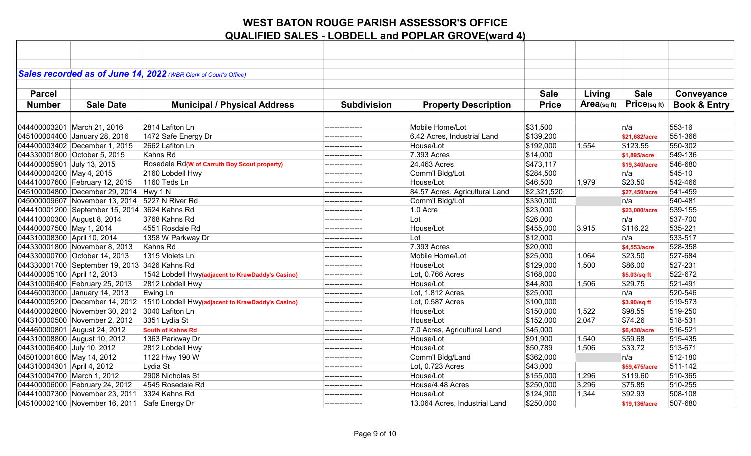|                             |                                                | Sales recorded as of June 14, 2022 (WBR Clerk of Court's Office)                |                    |                                |              |             |               |                         |
|-----------------------------|------------------------------------------------|---------------------------------------------------------------------------------|--------------------|--------------------------------|--------------|-------------|---------------|-------------------------|
|                             |                                                |                                                                                 |                    |                                |              |             |               |                         |
| <b>Parcel</b>               |                                                |                                                                                 |                    |                                | <b>Sale</b>  | Living      | <b>Sale</b>   | Conveyance              |
| <b>Number</b>               | <b>Sale Date</b>                               | <b>Municipal / Physical Address</b>                                             | <b>Subdivision</b> | <b>Property Description</b>    | <b>Price</b> | Area(sq ft) | Price(sqft)   | <b>Book &amp; Entry</b> |
|                             |                                                |                                                                                 |                    |                                |              |             |               |                         |
|                             | 044400003201 March 21, 2016                    | 2814 Lafiton Ln                                                                 | ---------------    | Mobile Home/Lot                | \$31,500     |             | n/a           | 553-16                  |
|                             | 045100004400 January 28, 2016                  | 1472 Safe Energy Dr                                                             | ---------------    | 6.42 Acres, Industrial Land    | \$139,200    |             | \$21,682/acre | 551-366                 |
|                             | 044400003402 December 1, 2015                  | 2662 Lafiton Ln                                                                 |                    | House/Lot                      | \$192,000    | 1,554       | \$123.55      | 550-302                 |
|                             | 044330001800 October 5, 2015                   | Kahns Rd                                                                        | ---------------    | 7.393 Acres                    | \$14,000     |             | \$1,895/acre  | 549-136                 |
| 044400005901 July 13, 2015  |                                                | Rosedale Rd(W of Carruth Boy Scout property)                                    | ---------------    | 24.463 Acres                   | \$473,117    |             | \$19,340/acre | 546-680                 |
| 044400004200 May 4, 2015    |                                                | 2160 Lobdell Hwy                                                                |                    | Comm'l Bldg/Lot                | \$284,500    |             | n/a           | 545-10                  |
|                             | 044410007600 February 12, 2015                 | 1160 Teds Ln                                                                    | ---------------    | House/Lot                      | \$46,500     | 1,979       | \$23.50       | 542-466                 |
|                             | 045100004800 December 29, 2014 Hwy 1 N         |                                                                                 | ---------------    | 84.57 Acres, Agricultural Land | \$2,321,520  |             | \$27,450/acre | 541-459                 |
|                             | 045000009607 November 13, 2014 5227 N River Rd |                                                                                 |                    | Comm'l Bldg/Lot                | \$330,000    |             | n/a           | 540-481                 |
|                             | 044410001200 September 15, 2014 3624 Kahns Rd  |                                                                                 | ---------------    | $1.0$ Acre                     | \$23,000     |             | \$23,000/acre | 539-155                 |
|                             | 044410000300 August 8, 2014                    | 3768 Kahns Rd                                                                   | ---------------    | Lot                            | \$26,000     |             | n/a           | 537-700                 |
| 044400007500 May 1, 2014    |                                                | 4551 Rosdale Rd                                                                 | ---------------    | House/Lot                      | \$455,000    | 3,915       | \$116.22      | 535-221                 |
| 044310008300 April 10, 2014 |                                                | 1358 W Parkway Dr                                                               | ---------------    | Lot                            | \$12,000     |             | n/a           | 533-517                 |
|                             | 044330001800 November 8, 2013                  | Kahns Rd                                                                        |                    | 7.393 Acres                    | \$20,000     |             | \$4,553/acre  | 528-358                 |
|                             | 044330000700 October 14, 2013                  | 1315 Violets Ln                                                                 | ---------------    | Mobile Home/Lot                | \$25,000     | 1,064       | \$23.50       | 527-684                 |
|                             | 044330001700 September 19, 2013 3426 Kahns Rd  |                                                                                 |                    | House/Lot                      | \$129,000    | 1,500       | \$86.00       | 527-231                 |
| 044400005100 April 12, 2013 |                                                | 1542 Lobdell Hwy(adjacent to KrawDaddy's Casino)                                |                    | Lot, 0.766 Acres               | \$168,000    |             | \$5.03/sq ft  | 522-672                 |
|                             | 044310006400 February 25, 2013                 | 2812 Lobdell Hwy                                                                | ---------------    | House/Lot                      | \$44,800     | 1,506       | \$29.75       | 521-491                 |
|                             | 044460003000 January 14, 2013                  | Ewing Ln                                                                        | ---------------    | Lot, 1.812 Acres               | \$25,000     |             | n/a           | 520-546                 |
|                             |                                                | 044400005200 December 14, 2012 1510 Lobdell Hwy(adjacent to KrawDaddy's Casino) |                    | Lot, 0.587 Acres               | \$100,000    |             | \$3.90/sq ft  | 519-573                 |
|                             | 044400002800 November 30, 2012 3040 Lafiton Ln |                                                                                 | ---------------    | House/Lot                      | \$150,000    | 1,522       | \$98.55       | 519-250                 |
|                             | 044310000500 November 2, 2012                  | 3351 Lydia St                                                                   | ---------------    | House/Lot                      | \$152,000    | 2,047       | \$74.26       | 518-531                 |
|                             | 044460000801 August 24, 2012                   | <b>South of Kahns Rd</b>                                                        |                    | 7.0 Acres, Agricultural Land   | \$45,000     |             | \$6,430/acre  | 516-521                 |
|                             | 044310008800 August 10, 2012                   | 1363 Parkway Dr                                                                 |                    | House/Lot                      | \$91,900     | 1,540       | \$59.68       | 515-435                 |
| 044310006400 July 10, 2012  |                                                | 2812 Lobdell Hwy                                                                |                    | House/Lot                      | \$50,789     | 1,506       | \$33.72       | 513-671                 |
| 045010001600 May 14, 2012   |                                                | 1122 Hwy 190 W                                                                  |                    | Comm'l Bldg/Land               | \$362,000    |             | n/a           | 512-180                 |
| 044310004301 April 4, 2012  |                                                | Lydia St                                                                        | ---------------    | Lot, 0.723 Acres               | \$43,000     |             | \$59,475/acre | 511-142                 |
|                             | 044310004700 March 1, 2012                     | 2908 Nicholas St                                                                | ---------------    | House/Lot                      | \$155,000    | 1,296       | \$119.60      | 510-365                 |
|                             | 044400006000 February 24, 2012                 | 4545 Rosedale Rd                                                                |                    | House/4.48 Acres               | \$250,000    | 3,296       | \$75.85       | 510-255                 |
|                             | 044410007300 November 23, 2011                 | 3324 Kahns Rd                                                                   |                    | House/Lot                      | \$124,900    | 1,344       | \$92.93       | 508-108                 |
|                             | 045100002100 November 16, 2011 Safe Energy Dr  |                                                                                 | ---------------    | 13.064 Acres, Industrial Land  | \$250,000    |             | \$19,136/acre | 507-680                 |